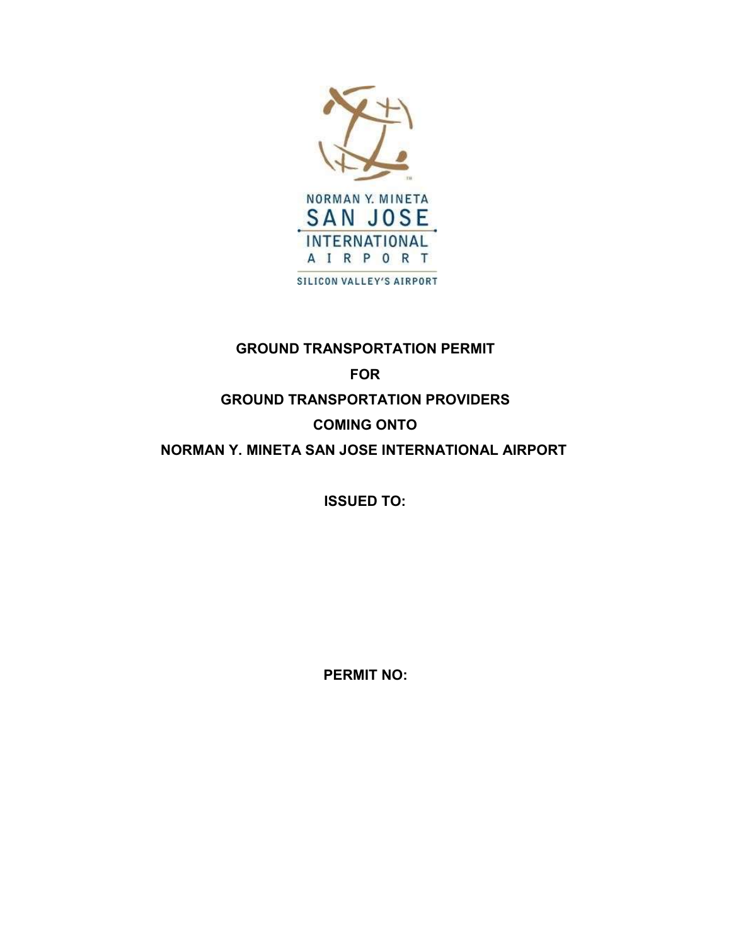

### GROUND TRANSPORTATION PERMIT

# FOR GROUND TRANSPORTATION PROVIDERS COMING ONTO NORMAN Y. MINETA SAN JOSE INTERNATIONAL AIRPORT

ISSUED TO:

PERMIT NO: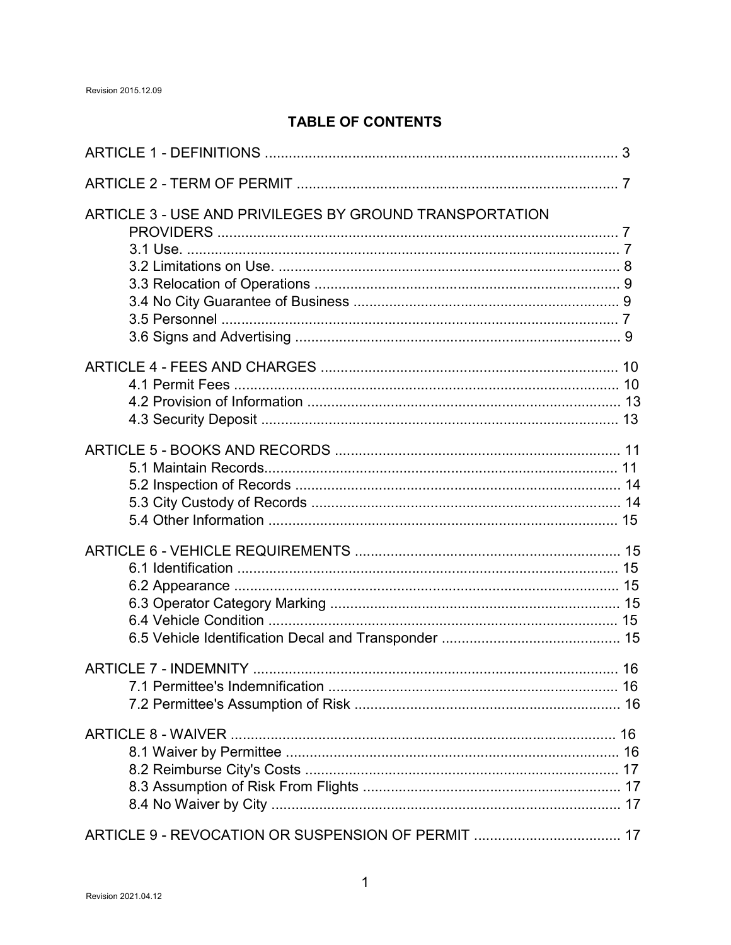## **TABLE OF CONTENTS**

| ARTICLE 3 - USE AND PRIVILEGES BY GROUND TRANSPORTATION |  |
|---------------------------------------------------------|--|
|                                                         |  |
|                                                         |  |
|                                                         |  |
|                                                         |  |
|                                                         |  |
|                                                         |  |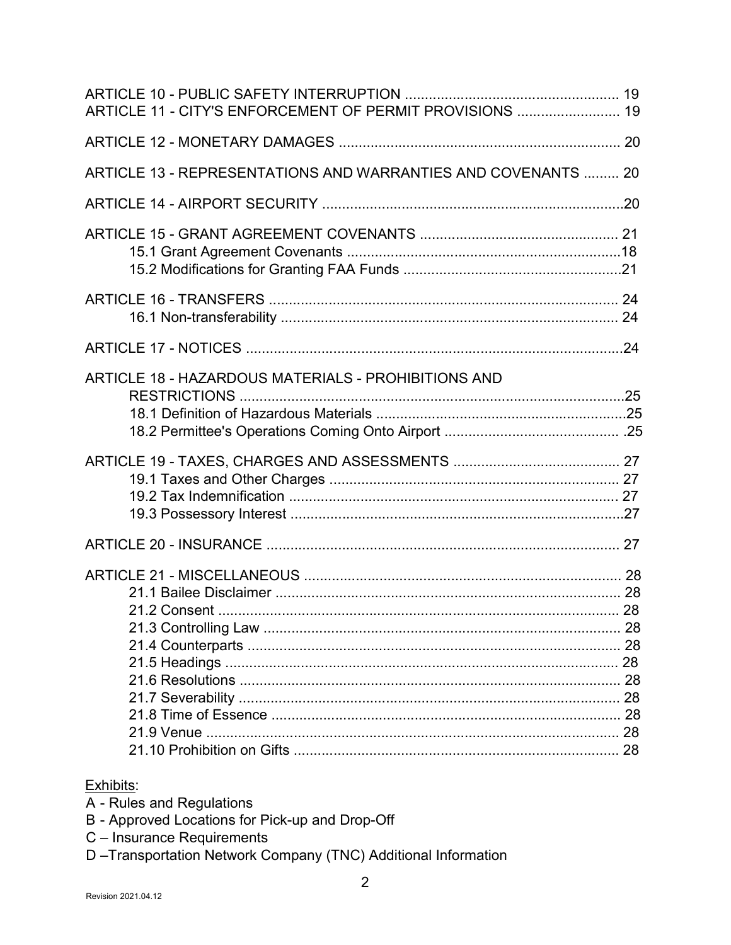| ARTICLE 11 - CITY'S ENFORCEMENT OF PERMIT PROVISIONS  19      |
|---------------------------------------------------------------|
|                                                               |
| ARTICLE 13 - REPRESENTATIONS AND WARRANTIES AND COVENANTS  20 |
|                                                               |
|                                                               |
|                                                               |
|                                                               |
|                                                               |
|                                                               |
|                                                               |
|                                                               |
|                                                               |

#### Exhibits:

- A Rules and Regulations
- B Approved Locations for Pick-up and Drop-Off
- C Insurance Requirements
- D-Transportation Network Company (TNC) Additional Information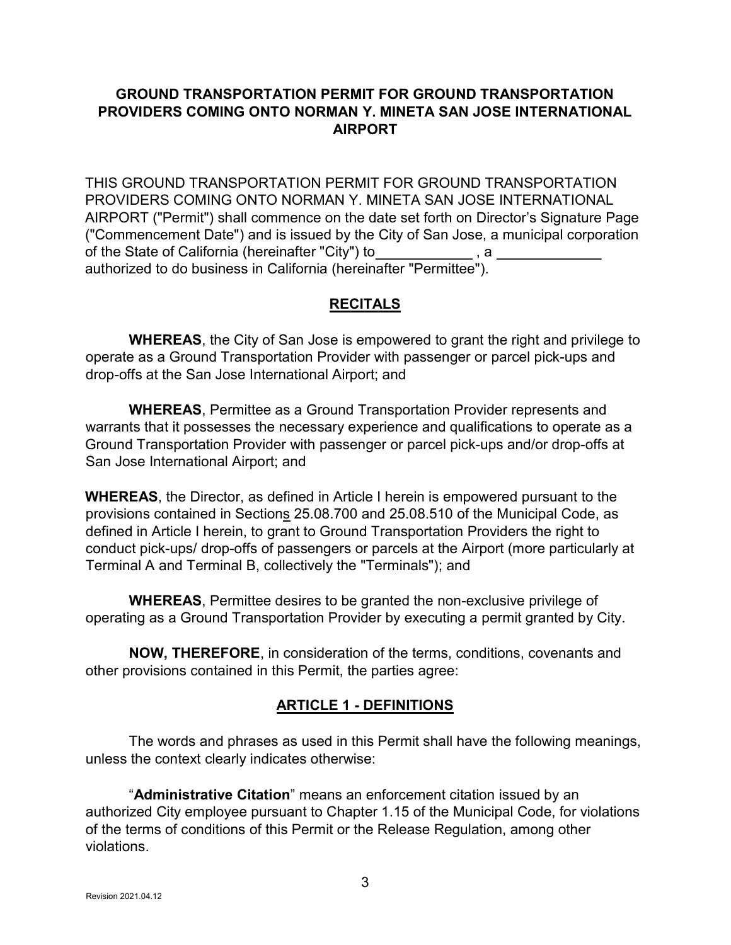### GROUND TRANSPORTATION PERMIT FOR GROUND TRANSPORTATION PROVIDERS COMING ONTO NORMAN Y. MINETA SAN JOSE INTERNATIONAL AIRPORT

THIS GROUND TRANSPORTATION PERMIT FOR GROUND TRANSPORTATION PROVIDERS COMING ONTO NORMAN Y. MINETA SAN JOSE INTERNATIONAL AIRPORT ("Permit") shall commence on the date set forth on Director's Signature Page ("Commencement Date") and is issued by the City of San Jose, a municipal corporation of the State of California (hereinafter "City") to , a authorized to do business in California (hereinafter "Permittee").

### **RECITALS**

 WHEREAS, the City of San Jose is empowered to grant the right and privilege to operate as a Ground Transportation Provider with passenger or parcel pick-ups and drop-offs at the San Jose International Airport; and

 WHEREAS, Permittee as a Ground Transportation Provider represents and warrants that it possesses the necessary experience and qualifications to operate as a Ground Transportation Provider with passenger or parcel pick-ups and/or drop-offs at San Jose International Airport; and

WHEREAS, the Director, as defined in Article I herein is empowered pursuant to the provisions contained in Sections 25.08.700 and 25.08.510 of the Municipal Code, as defined in Article I herein, to grant to Ground Transportation Providers the right to conduct pick-ups/ drop-offs of passengers or parcels at the Airport (more particularly at Terminal A and Terminal B, collectively the "Terminals"); and

 WHEREAS, Permittee desires to be granted the non-exclusive privilege of operating as a Ground Transportation Provider by executing a permit granted by City.

 NOW, THEREFORE, in consideration of the terms, conditions, covenants and other provisions contained in this Permit, the parties agree:

### ARTICLE 1 - DEFINITIONS

 The words and phrases as used in this Permit shall have the following meanings, unless the context clearly indicates otherwise:

 "Administrative Citation" means an enforcement citation issued by an authorized City employee pursuant to Chapter 1.15 of the Municipal Code, for violations of the terms of conditions of this Permit or the Release Regulation, among other violations.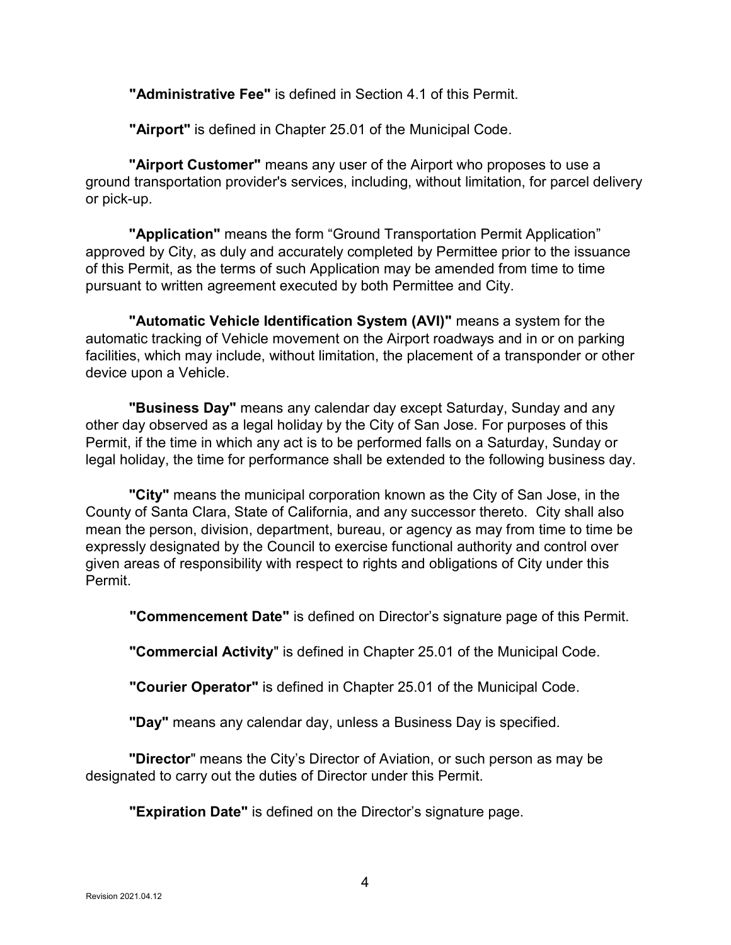"Administrative Fee" is defined in Section 4.1 of this Permit.

"Airport" is defined in Chapter 25.01 of the Municipal Code.

"Airport Customer" means any user of the Airport who proposes to use a ground transportation provider's services, including, without limitation, for parcel delivery or pick-up.

"Application" means the form "Ground Transportation Permit Application" approved by City, as duly and accurately completed by Permittee prior to the issuance of this Permit, as the terms of such Application may be amended from time to time pursuant to written agreement executed by both Permittee and City.

 "Automatic Vehicle Identification System (AVI)" means a system for the automatic tracking of Vehicle movement on the Airport roadways and in or on parking facilities, which may include, without limitation, the placement of a transponder or other device upon a Vehicle.

"Business Day" means any calendar day except Saturday, Sunday and any other day observed as a legal holiday by the City of San Jose. For purposes of this Permit, if the time in which any act is to be performed falls on a Saturday, Sunday or legal holiday, the time for performance shall be extended to the following business day.

"City" means the municipal corporation known as the City of San Jose, in the County of Santa Clara, State of California, and any successor thereto. City shall also mean the person, division, department, bureau, or agency as may from time to time be expressly designated by the Council to exercise functional authority and control over given areas of responsibility with respect to rights and obligations of City under this Permit.

"Commencement Date" is defined on Director's signature page of this Permit.

"Commercial Activity" is defined in Chapter 25.01 of the Municipal Code.

"Courier Operator" is defined in Chapter 25.01 of the Municipal Code.

"Day" means any calendar day, unless a Business Day is specified.

**"Director**" means the City's Director of Aviation, or such person as may be designated to carry out the duties of Director under this Permit.

**"Expiration Date"** is defined on the Director's signature page.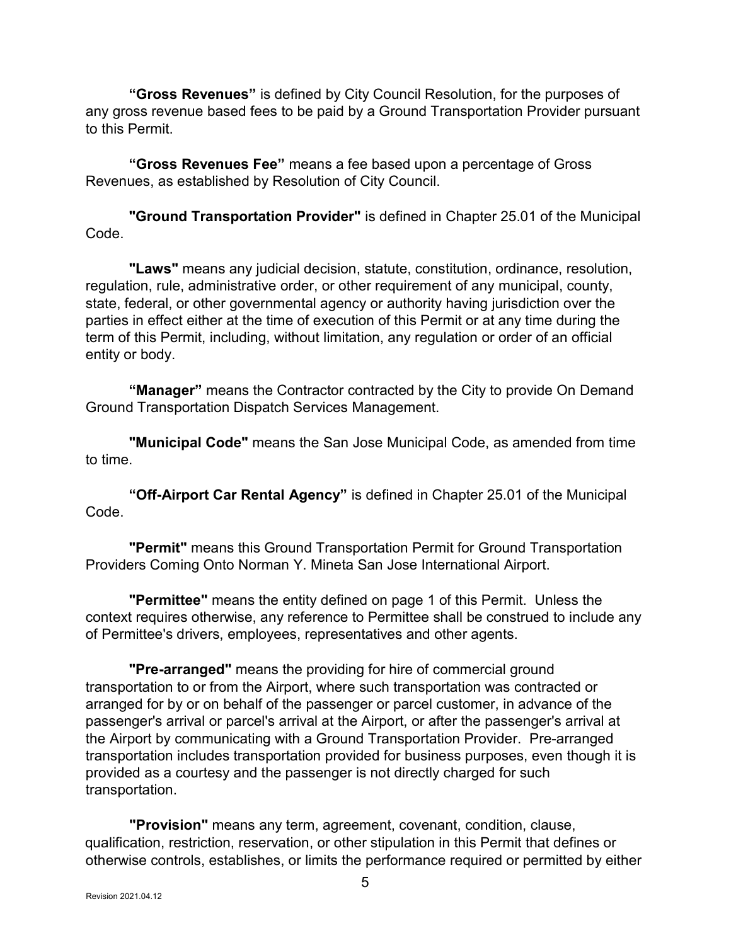"Gross Revenues" is defined by City Council Resolution, for the purposes of any gross revenue based fees to be paid by a Ground Transportation Provider pursuant to this Permit.

 "Gross Revenues Fee" means a fee based upon a percentage of Gross Revenues, as established by Resolution of City Council.

 "Ground Transportation Provider" is defined in Chapter 25.01 of the Municipal Code.

 "Laws" means any judicial decision, statute, constitution, ordinance, resolution, regulation, rule, administrative order, or other requirement of any municipal, county, state, federal, or other governmental agency or authority having jurisdiction over the parties in effect either at the time of execution of this Permit or at any time during the term of this Permit, including, without limitation, any regulation or order of an official entity or body.

"Manager" means the Contractor contracted by the City to provide On Demand Ground Transportation Dispatch Services Management.

 "Municipal Code" means the San Jose Municipal Code, as amended from time to time.

 "Off-Airport Car Rental Agency" is defined in Chapter 25.01 of the Municipal Code.

 "Permit" means this Ground Transportation Permit for Ground Transportation Providers Coming Onto Norman Y. Mineta San Jose International Airport.

 "Permittee" means the entity defined on page 1 of this Permit. Unless the context requires otherwise, any reference to Permittee shall be construed to include any of Permittee's drivers, employees, representatives and other agents.

 "Pre-arranged" means the providing for hire of commercial ground transportation to or from the Airport, where such transportation was contracted or arranged for by or on behalf of the passenger or parcel customer, in advance of the passenger's arrival or parcel's arrival at the Airport, or after the passenger's arrival at the Airport by communicating with a Ground Transportation Provider. Pre-arranged transportation includes transportation provided for business purposes, even though it is provided as a courtesy and the passenger is not directly charged for such transportation.

 "Provision" means any term, agreement, covenant, condition, clause, qualification, restriction, reservation, or other stipulation in this Permit that defines or otherwise controls, establishes, or limits the performance required or permitted by either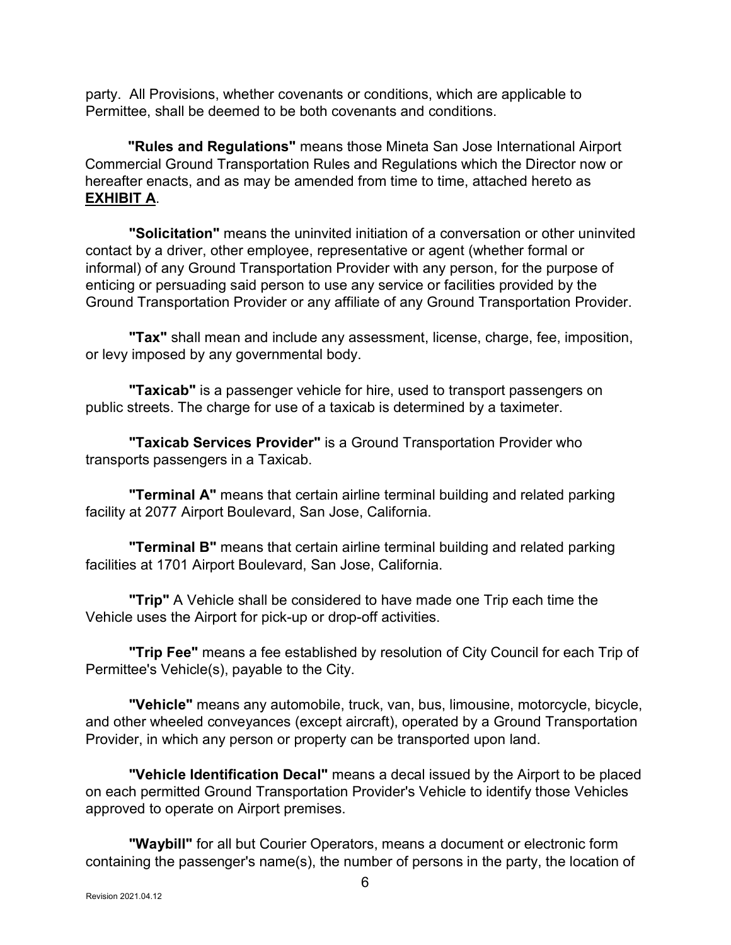party. All Provisions, whether covenants or conditions, which are applicable to Permittee, shall be deemed to be both covenants and conditions.

"Rules and Regulations" means those Mineta San Jose International Airport Commercial Ground Transportation Rules and Regulations which the Director now or hereafter enacts, and as may be amended from time to time, attached hereto as EXHIBIT A.

 "Solicitation" means the uninvited initiation of a conversation or other uninvited contact by a driver, other employee, representative or agent (whether formal or informal) of any Ground Transportation Provider with any person, for the purpose of enticing or persuading said person to use any service or facilities provided by the Ground Transportation Provider or any affiliate of any Ground Transportation Provider.

"Tax" shall mean and include any assessment, license, charge, fee, imposition, or levy imposed by any governmental body.

"Taxicab" is a passenger vehicle for hire, used to transport passengers on public streets. The charge for use of a taxicab is determined by a taximeter.

 "Taxicab Services Provider" is a Ground Transportation Provider who transports passengers in a Taxicab.

"Terminal A" means that certain airline terminal building and related parking facility at 2077 Airport Boulevard, San Jose, California.

 "Terminal B" means that certain airline terminal building and related parking facilities at 1701 Airport Boulevard, San Jose, California.

 "Trip" A Vehicle shall be considered to have made one Trip each time the Vehicle uses the Airport for pick-up or drop-off activities.

"Trip Fee" means a fee established by resolution of City Council for each Trip of Permittee's Vehicle(s), payable to the City.

 "Vehicle" means any automobile, truck, van, bus, limousine, motorcycle, bicycle, and other wheeled conveyances (except aircraft), operated by a Ground Transportation Provider, in which any person or property can be transported upon land.

"Vehicle Identification Decal" means a decal issued by the Airport to be placed on each permitted Ground Transportation Provider's Vehicle to identify those Vehicles approved to operate on Airport premises.

"Waybill" for all but Courier Operators, means a document or electronic form containing the passenger's name(s), the number of persons in the party, the location of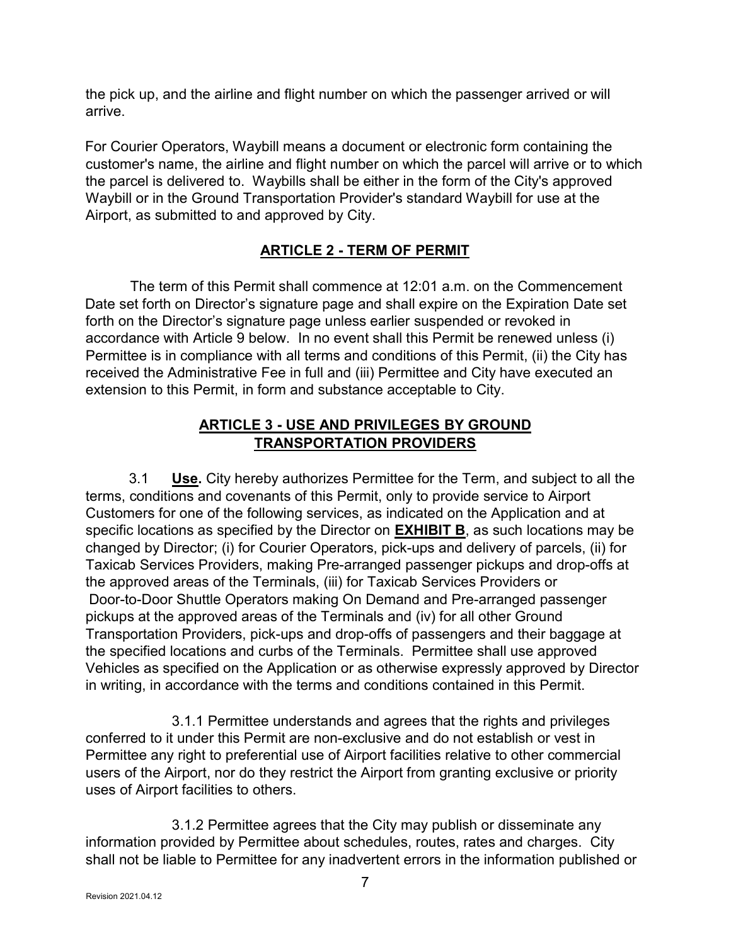the pick up, and the airline and flight number on which the passenger arrived or will arrive.

For Courier Operators, Waybill means a document or electronic form containing the customer's name, the airline and flight number on which the parcel will arrive or to which the parcel is delivered to. Waybills shall be either in the form of the City's approved Waybill or in the Ground Transportation Provider's standard Waybill for use at the Airport, as submitted to and approved by City.

## ARTICLE 2 - TERM OF PERMIT

 The term of this Permit shall commence at 12:01 a.m. on the Commencement Date set forth on Director's signature page and shall expire on the Expiration Date set forth on the Director's signature page unless earlier suspended or revoked in accordance with Article 9 below. In no event shall this Permit be renewed unless (i) Permittee is in compliance with all terms and conditions of this Permit, (ii) the City has received the Administrative Fee in full and (iii) Permittee and City have executed an extension to this Permit, in form and substance acceptable to City.

### ARTICLE 3 - USE AND PRIVILEGES BY GROUND TRANSPORTATION PROVIDERS

 3.1 Use. City hereby authorizes Permittee for the Term, and subject to all the terms, conditions and covenants of this Permit, only to provide service to Airport Customers for one of the following services, as indicated on the Application and at specific locations as specified by the Director on **EXHIBIT B**, as such locations may be changed by Director; (i) for Courier Operators, pick-ups and delivery of parcels, (ii) for Taxicab Services Providers, making Pre-arranged passenger pickups and drop-offs at the approved areas of the Terminals, (iii) for Taxicab Services Providers or Door-to-Door Shuttle Operators making On Demand and Pre-arranged passenger pickups at the approved areas of the Terminals and (iv) for all other Ground Transportation Providers, pick-ups and drop-offs of passengers and their baggage at the specified locations and curbs of the Terminals. Permittee shall use approved Vehicles as specified on the Application or as otherwise expressly approved by Director in writing, in accordance with the terms and conditions contained in this Permit.

 3.1.1 Permittee understands and agrees that the rights and privileges conferred to it under this Permit are non-exclusive and do not establish or vest in Permittee any right to preferential use of Airport facilities relative to other commercial users of the Airport, nor do they restrict the Airport from granting exclusive or priority uses of Airport facilities to others.

 3.1.2 Permittee agrees that the City may publish or disseminate any information provided by Permittee about schedules, routes, rates and charges. City shall not be liable to Permittee for any inadvertent errors in the information published or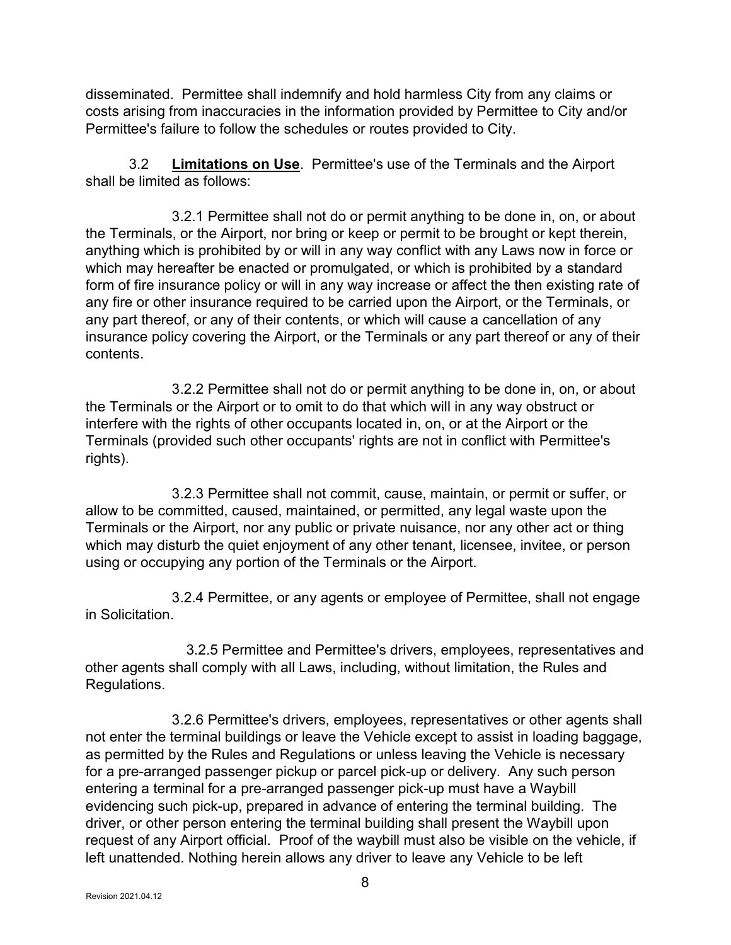disseminated. Permittee shall indemnify and hold harmless City from any claims or costs arising from inaccuracies in the information provided by Permittee to City and/or Permittee's failure to follow the schedules or routes provided to City.

 3.2 Limitations on Use. Permittee's use of the Terminals and the Airport shall be limited as follows:

 3.2.1 Permittee shall not do or permit anything to be done in, on, or about the Terminals, or the Airport, nor bring or keep or permit to be brought or kept therein, anything which is prohibited by or will in any way conflict with any Laws now in force or which may hereafter be enacted or promulgated, or which is prohibited by a standard form of fire insurance policy or will in any way increase or affect the then existing rate of any fire or other insurance required to be carried upon the Airport, or the Terminals, or any part thereof, or any of their contents, or which will cause a cancellation of any insurance policy covering the Airport, or the Terminals or any part thereof or any of their contents.

 3.2.2 Permittee shall not do or permit anything to be done in, on, or about the Terminals or the Airport or to omit to do that which will in any way obstruct or interfere with the rights of other occupants located in, on, or at the Airport or the Terminals (provided such other occupants' rights are not in conflict with Permittee's rights).

 3.2.3 Permittee shall not commit, cause, maintain, or permit or suffer, or allow to be committed, caused, maintained, or permitted, any legal waste upon the Terminals or the Airport, nor any public or private nuisance, nor any other act or thing which may disturb the quiet enjoyment of any other tenant, licensee, invitee, or person using or occupying any portion of the Terminals or the Airport.

 3.2.4 Permittee, or any agents or employee of Permittee, shall not engage in Solicitation.

 3.2.5 Permittee and Permittee's drivers, employees, representatives and other agents shall comply with all Laws, including, without limitation, the Rules and Regulations.

 3.2.6 Permittee's drivers, employees, representatives or other agents shall not enter the terminal buildings or leave the Vehicle except to assist in loading baggage, as permitted by the Rules and Regulations or unless leaving the Vehicle is necessary for a pre-arranged passenger pickup or parcel pick-up or delivery. Any such person entering a terminal for a pre-arranged passenger pick-up must have a Waybill evidencing such pick-up, prepared in advance of entering the terminal building. The driver, or other person entering the terminal building shall present the Waybill upon request of any Airport official. Proof of the waybill must also be visible on the vehicle, if left unattended. Nothing herein allows any driver to leave any Vehicle to be left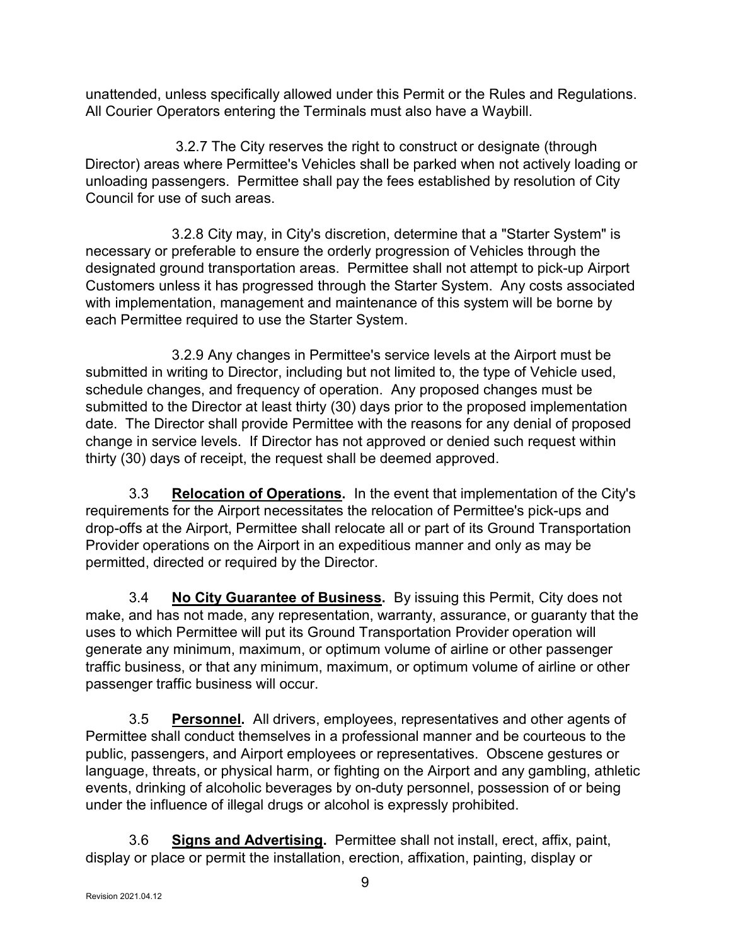unattended, unless specifically allowed under this Permit or the Rules and Regulations. All Courier Operators entering the Terminals must also have a Waybill.

 3.2.7 The City reserves the right to construct or designate (through Director) areas where Permittee's Vehicles shall be parked when not actively loading or unloading passengers. Permittee shall pay the fees established by resolution of City Council for use of such areas.

 3.2.8 City may, in City's discretion, determine that a "Starter System" is necessary or preferable to ensure the orderly progression of Vehicles through the designated ground transportation areas. Permittee shall not attempt to pick-up Airport Customers unless it has progressed through the Starter System. Any costs associated with implementation, management and maintenance of this system will be borne by each Permittee required to use the Starter System.

 3.2.9 Any changes in Permittee's service levels at the Airport must be submitted in writing to Director, including but not limited to, the type of Vehicle used, schedule changes, and frequency of operation. Any proposed changes must be submitted to the Director at least thirty (30) days prior to the proposed implementation date. The Director shall provide Permittee with the reasons for any denial of proposed change in service levels. If Director has not approved or denied such request within thirty (30) days of receipt, the request shall be deemed approved.

3.3 Relocation of Operations. In the event that implementation of the City's requirements for the Airport necessitates the relocation of Permittee's pick-ups and drop-offs at the Airport, Permittee shall relocate all or part of its Ground Transportation Provider operations on the Airport in an expeditious manner and only as may be permitted, directed or required by the Director.

3.4 No City Guarantee of Business. By issuing this Permit, City does not make, and has not made, any representation, warranty, assurance, or guaranty that the uses to which Permittee will put its Ground Transportation Provider operation will generate any minimum, maximum, or optimum volume of airline or other passenger traffic business, or that any minimum, maximum, or optimum volume of airline or other passenger traffic business will occur.

3.5 Personnel. All drivers, employees, representatives and other agents of Permittee shall conduct themselves in a professional manner and be courteous to the public, passengers, and Airport employees or representatives. Obscene gestures or language, threats, or physical harm, or fighting on the Airport and any gambling, athletic events, drinking of alcoholic beverages by on-duty personnel, possession of or being under the influence of illegal drugs or alcohol is expressly prohibited.

 3.6 Signs and Advertising. Permittee shall not install, erect, affix, paint, display or place or permit the installation, erection, affixation, painting, display or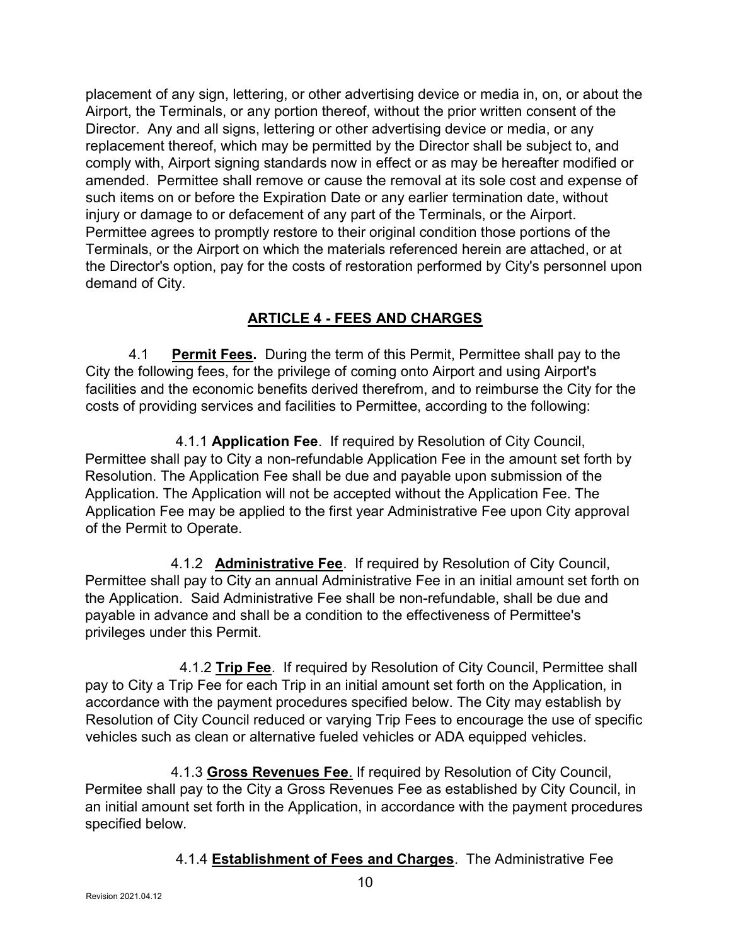placement of any sign, lettering, or other advertising device or media in, on, or about the Airport, the Terminals, or any portion thereof, without the prior written consent of the Director. Any and all signs, lettering or other advertising device or media, or any replacement thereof, which may be permitted by the Director shall be subject to, and comply with, Airport signing standards now in effect or as may be hereafter modified or amended. Permittee shall remove or cause the removal at its sole cost and expense of such items on or before the Expiration Date or any earlier termination date, without injury or damage to or defacement of any part of the Terminals, or the Airport. Permittee agrees to promptly restore to their original condition those portions of the Terminals, or the Airport on which the materials referenced herein are attached, or at the Director's option, pay for the costs of restoration performed by City's personnel upon demand of City.

## ARTICLE 4 - FEES AND CHARGES

4.1 **Permit Fees.** During the term of this Permit, Permittee shall pay to the City the following fees, for the privilege of coming onto Airport and using Airport's facilities and the economic benefits derived therefrom, and to reimburse the City for the costs of providing services and facilities to Permittee, according to the following:

 4.1.1 Application Fee. If required by Resolution of City Council, Permittee shall pay to City a non-refundable Application Fee in the amount set forth by Resolution. The Application Fee shall be due and payable upon submission of the Application. The Application will not be accepted without the Application Fee. The Application Fee may be applied to the first year Administrative Fee upon City approval of the Permit to Operate.

4.1.2 Administrative Fee. If required by Resolution of City Council, Permittee shall pay to City an annual Administrative Fee in an initial amount set forth on the Application. Said Administrative Fee shall be non-refundable, shall be due and payable in advance and shall be a condition to the effectiveness of Permittee's privileges under this Permit.

4.1.2 Trip Fee. If required by Resolution of City Council, Permittee shall pay to City a Trip Fee for each Trip in an initial amount set forth on the Application, in accordance with the payment procedures specified below. The City may establish by Resolution of City Council reduced or varying Trip Fees to encourage the use of specific vehicles such as clean or alternative fueled vehicles or ADA equipped vehicles.

4.1.3 Gross Revenues Fee. If required by Resolution of City Council, Permitee shall pay to the City a Gross Revenues Fee as established by City Council, in an initial amount set forth in the Application, in accordance with the payment procedures specified below.

4.1.4 Establishment of Fees and Charges. The Administrative Fee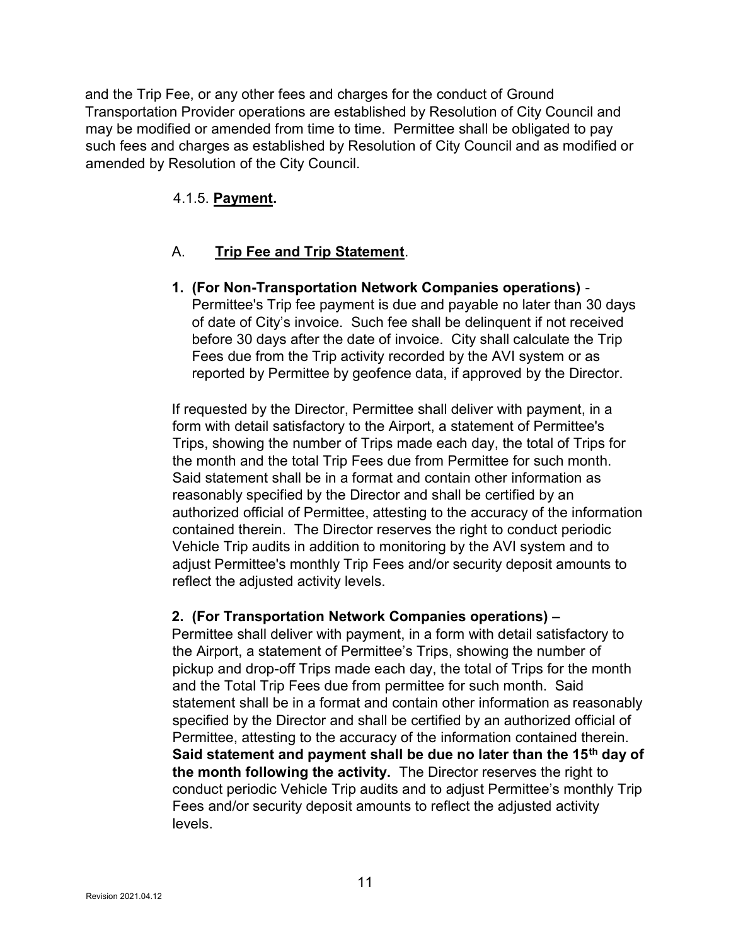and the Trip Fee, or any other fees and charges for the conduct of Ground Transportation Provider operations are established by Resolution of City Council and may be modified or amended from time to time. Permittee shall be obligated to pay such fees and charges as established by Resolution of City Council and as modified or amended by Resolution of the City Council.

## 4.1.5. Payment.

### A. Trip Fee and Trip Statement.

1. (For Non-Transportation Network Companies operations) - Permittee's Trip fee payment is due and payable no later than 30 days of date of City's invoice. Such fee shall be delinquent if not received before 30 days after the date of invoice. City shall calculate the Trip Fees due from the Trip activity recorded by the AVI system or as reported by Permittee by geofence data, if approved by the Director.

If requested by the Director, Permittee shall deliver with payment, in a form with detail satisfactory to the Airport, a statement of Permittee's Trips, showing the number of Trips made each day, the total of Trips for the month and the total Trip Fees due from Permittee for such month. Said statement shall be in a format and contain other information as reasonably specified by the Director and shall be certified by an authorized official of Permittee, attesting to the accuracy of the information contained therein. The Director reserves the right to conduct periodic Vehicle Trip audits in addition to monitoring by the AVI system and to adjust Permittee's monthly Trip Fees and/or security deposit amounts to reflect the adjusted activity levels.

#### 2. (For Transportation Network Companies operations) –

Permittee shall deliver with payment, in a form with detail satisfactory to the Airport, a statement of Permittee's Trips, showing the number of pickup and drop-off Trips made each day, the total of Trips for the month and the Total Trip Fees due from permittee for such month. Said statement shall be in a format and contain other information as reasonably specified by the Director and shall be certified by an authorized official of Permittee, attesting to the accuracy of the information contained therein. Said statement and payment shall be due no later than the 15<sup>th</sup> day of the month following the activity. The Director reserves the right to conduct periodic Vehicle Trip audits and to adjust Permittee's monthly Trip Fees and/or security deposit amounts to reflect the adjusted activity levels.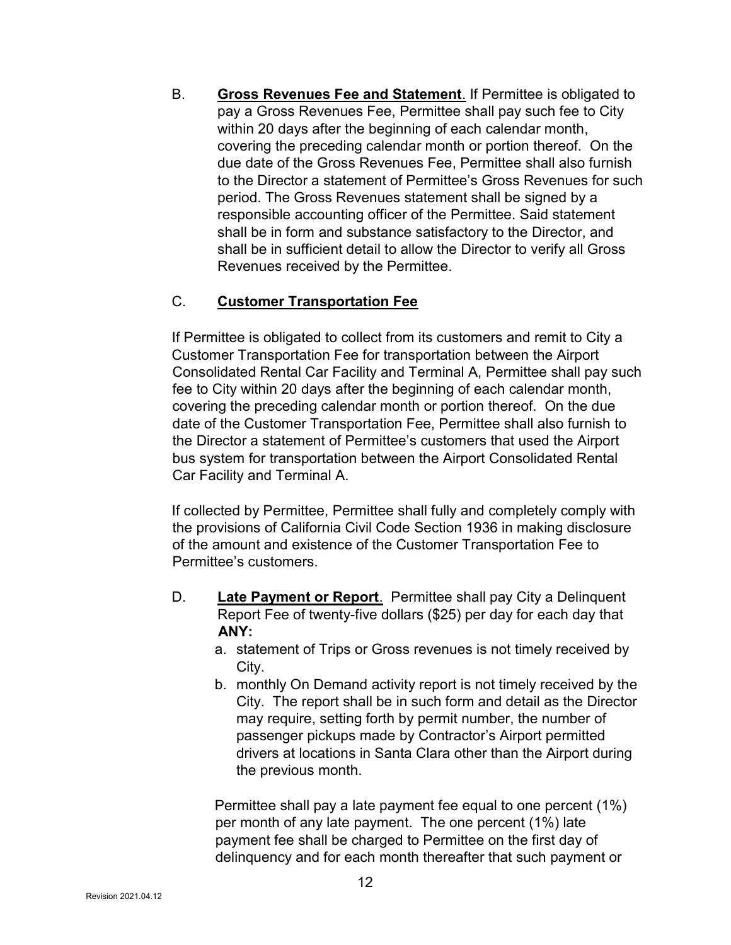B. Gross Revenues Fee and Statement. If Permittee is obligated to pay a Gross Revenues Fee, Permittee shall pay such fee to City within 20 days after the beginning of each calendar month, covering the preceding calendar month or portion thereof. On the due date of the Gross Revenues Fee, Permittee shall also furnish to the Director a statement of Permittee's Gross Revenues for such period. The Gross Revenues statement shall be signed by a responsible accounting officer of the Permittee. Said statement shall be in form and substance satisfactory to the Director, and shall be in sufficient detail to allow the Director to verify all Gross Revenues received by the Permittee.

### C. Customer Transportation Fee

If Permittee is obligated to collect from its customers and remit to City a Customer Transportation Fee for transportation between the Airport Consolidated Rental Car Facility and Terminal A, Permittee shall pay such fee to City within 20 days after the beginning of each calendar month, covering the preceding calendar month or portion thereof. On the due date of the Customer Transportation Fee, Permittee shall also furnish to the Director a statement of Permittee's customers that used the Airport bus system for transportation between the Airport Consolidated Rental Car Facility and Terminal A.

If collected by Permittee, Permittee shall fully and completely comply with the provisions of California Civil Code Section 1936 in making disclosure of the amount and existence of the Customer Transportation Fee to Permittee's customers.

- D. Late Payment or Report. Permittee shall pay City a Delinquent Report Fee of twenty-five dollars (\$25) per day for each day that ANY:
	- a. statement of Trips or Gross revenues is not timely received by City.
	- b. monthly On Demand activity report is not timely received by the City. The report shall be in such form and detail as the Director may require, setting forth by permit number, the number of passenger pickups made by Contractor's Airport permitted drivers at locations in Santa Clara other than the Airport during the previous month.

Permittee shall pay a late payment fee equal to one percent (1%) per month of any late payment. The one percent (1%) late payment fee shall be charged to Permittee on the first day of delinquency and for each month thereafter that such payment or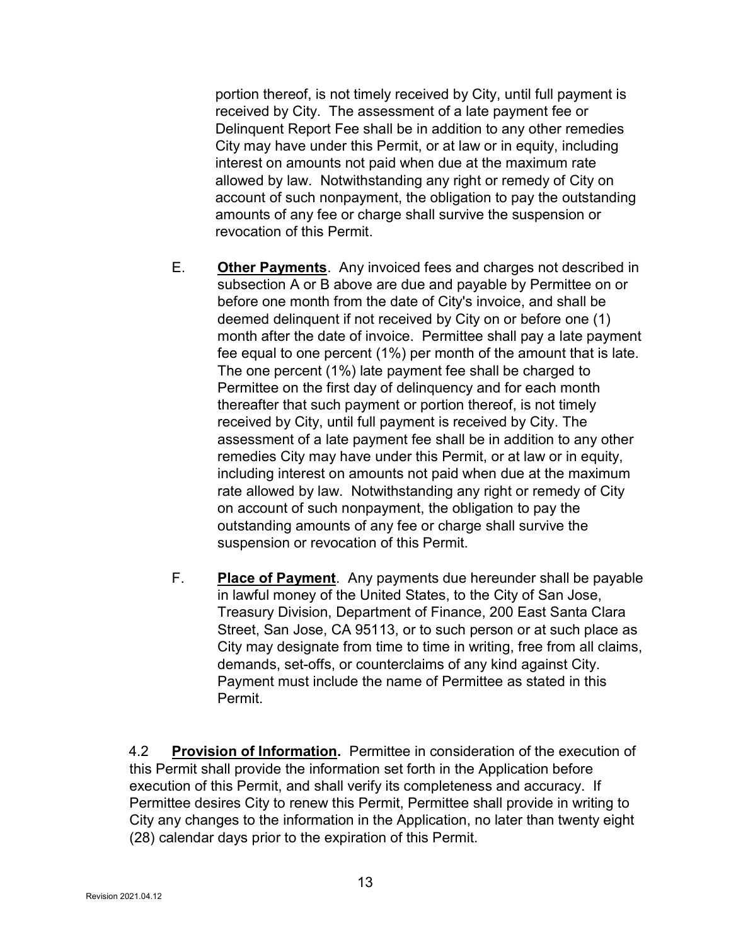portion thereof, is not timely received by City, until full payment is received by City. The assessment of a late payment fee or Delinquent Report Fee shall be in addition to any other remedies City may have under this Permit, or at law or in equity, including interest on amounts not paid when due at the maximum rate allowed by law. Notwithstanding any right or remedy of City on account of such nonpayment, the obligation to pay the outstanding amounts of any fee or charge shall survive the suspension or revocation of this Permit.

- E. Other Payments. Any invoiced fees and charges not described in subsection A or B above are due and payable by Permittee on or before one month from the date of City's invoice, and shall be deemed delinquent if not received by City on or before one (1) month after the date of invoice. Permittee shall pay a late payment fee equal to one percent (1%) per month of the amount that is late. The one percent (1%) late payment fee shall be charged to Permittee on the first day of delinquency and for each month thereafter that such payment or portion thereof, is not timely received by City, until full payment is received by City. The assessment of a late payment fee shall be in addition to any other remedies City may have under this Permit, or at law or in equity, including interest on amounts not paid when due at the maximum rate allowed by law. Notwithstanding any right or remedy of City on account of such nonpayment, the obligation to pay the outstanding amounts of any fee or charge shall survive the suspension or revocation of this Permit.
- F. Place of Payment. Any payments due hereunder shall be payable in lawful money of the United States, to the City of San Jose, Treasury Division, Department of Finance, 200 East Santa Clara Street, San Jose, CA 95113, or to such person or at such place as City may designate from time to time in writing, free from all claims, demands, set-offs, or counterclaims of any kind against City. Payment must include the name of Permittee as stated in this Permit.

4.2 Provision of Information. Permittee in consideration of the execution of this Permit shall provide the information set forth in the Application before execution of this Permit, and shall verify its completeness and accuracy. If Permittee desires City to renew this Permit, Permittee shall provide in writing to City any changes to the information in the Application, no later than twenty eight (28) calendar days prior to the expiration of this Permit.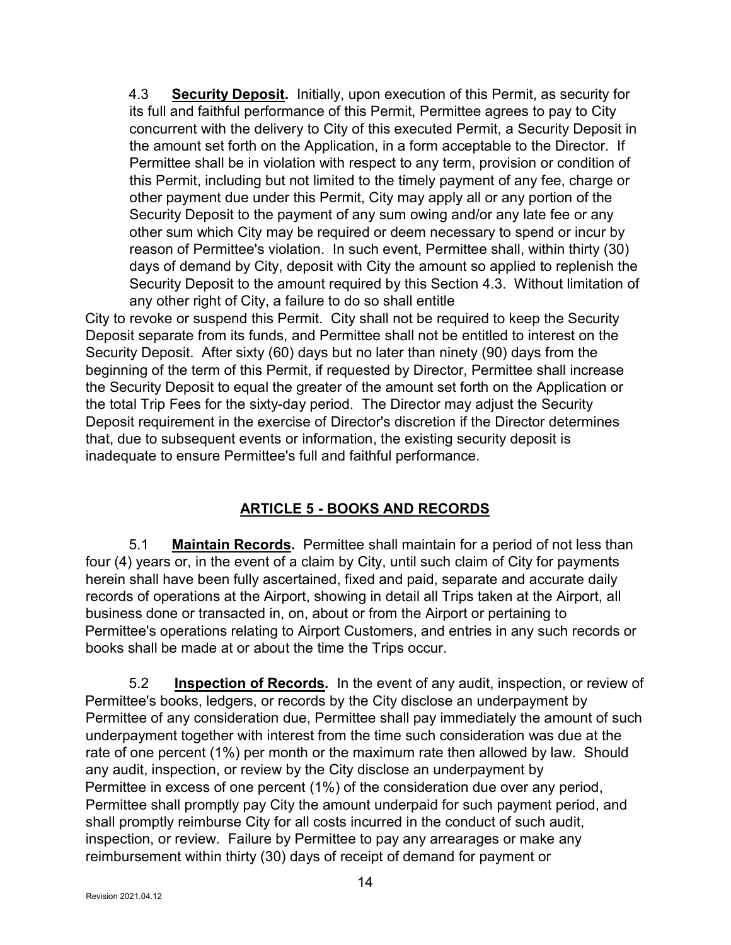4.3 Security Deposit. Initially, upon execution of this Permit, as security for its full and faithful performance of this Permit, Permittee agrees to pay to City concurrent with the delivery to City of this executed Permit, a Security Deposit in the amount set forth on the Application, in a form acceptable to the Director. If Permittee shall be in violation with respect to any term, provision or condition of this Permit, including but not limited to the timely payment of any fee, charge or other payment due under this Permit, City may apply all or any portion of the Security Deposit to the payment of any sum owing and/or any late fee or any other sum which City may be required or deem necessary to spend or incur by reason of Permittee's violation. In such event, Permittee shall, within thirty (30) days of demand by City, deposit with City the amount so applied to replenish the Security Deposit to the amount required by this Section 4.3. Without limitation of any other right of City, a failure to do so shall entitle

City to revoke or suspend this Permit. City shall not be required to keep the Security Deposit separate from its funds, and Permittee shall not be entitled to interest on the Security Deposit. After sixty (60) days but no later than ninety (90) days from the beginning of the term of this Permit, if requested by Director, Permittee shall increase the Security Deposit to equal the greater of the amount set forth on the Application or the total Trip Fees for the sixty-day period. The Director may adjust the Security Deposit requirement in the exercise of Director's discretion if the Director determines that, due to subsequent events or information, the existing security deposit is inadequate to ensure Permittee's full and faithful performance.

## ARTICLE 5 - BOOKS AND RECORDS

 5.1 Maintain Records. Permittee shall maintain for a period of not less than four (4) years or, in the event of a claim by City, until such claim of City for payments herein shall have been fully ascertained, fixed and paid, separate and accurate daily records of operations at the Airport, showing in detail all Trips taken at the Airport, all business done or transacted in, on, about or from the Airport or pertaining to Permittee's operations relating to Airport Customers, and entries in any such records or books shall be made at or about the time the Trips occur.

5.2 **Inspection of Records.** In the event of any audit, inspection, or review of Permittee's books, ledgers, or records by the City disclose an underpayment by Permittee of any consideration due, Permittee shall pay immediately the amount of such underpayment together with interest from the time such consideration was due at the rate of one percent (1%) per month or the maximum rate then allowed by law. Should any audit, inspection, or review by the City disclose an underpayment by Permittee in excess of one percent (1%) of the consideration due over any period, Permittee shall promptly pay City the amount underpaid for such payment period, and shall promptly reimburse City for all costs incurred in the conduct of such audit, inspection, or review. Failure by Permittee to pay any arrearages or make any reimbursement within thirty (30) days of receipt of demand for payment or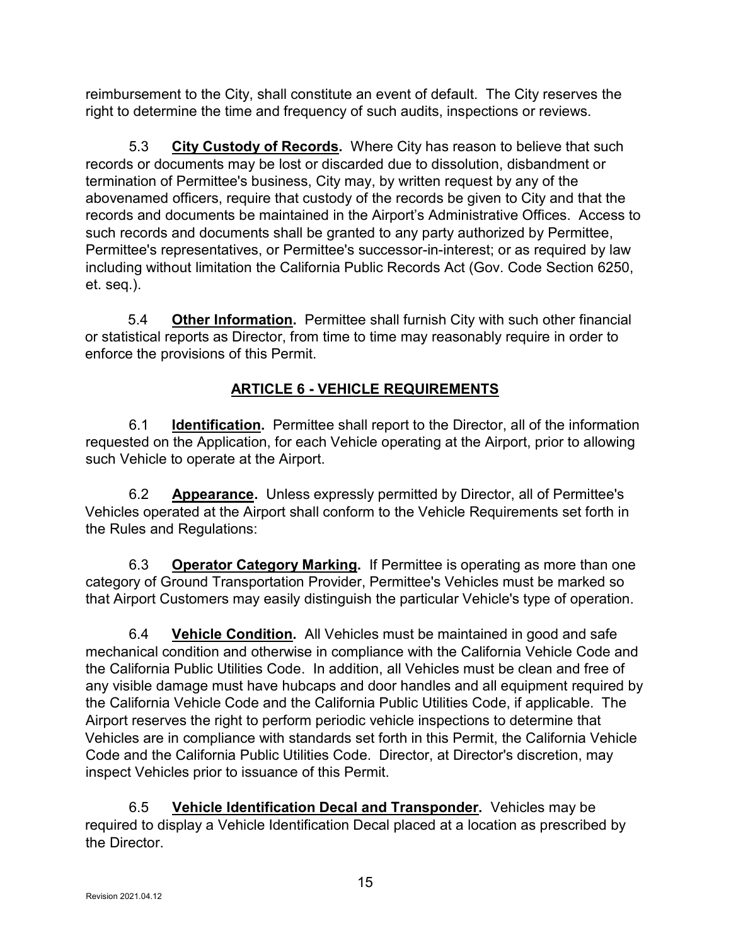reimbursement to the City, shall constitute an event of default. The City reserves the right to determine the time and frequency of such audits, inspections or reviews.

5.3 City Custody of Records. Where City has reason to believe that such records or documents may be lost or discarded due to dissolution, disbandment or termination of Permittee's business, City may, by written request by any of the abovenamed officers, require that custody of the records be given to City and that the records and documents be maintained in the Airport's Administrative Offices. Access to such records and documents shall be granted to any party authorized by Permittee, Permittee's representatives, or Permittee's successor-in-interest; or as required by law including without limitation the California Public Records Act (Gov. Code Section 6250, et. seq.).

5.4 **Other Information.** Permittee shall furnish City with such other financial or statistical reports as Director, from time to time may reasonably require in order to enforce the provisions of this Permit.

## ARTICLE 6 - VEHICLE REQUIREMENTS

6.1 **Identification.** Permittee shall report to the Director, all of the information requested on the Application, for each Vehicle operating at the Airport, prior to allowing such Vehicle to operate at the Airport.

6.2 **Appearance.** Unless expressly permitted by Director, all of Permittee's Vehicles operated at the Airport shall conform to the Vehicle Requirements set forth in the Rules and Regulations:

6.3 Operator Category Marking. If Permittee is operating as more than one category of Ground Transportation Provider, Permittee's Vehicles must be marked so that Airport Customers may easily distinguish the particular Vehicle's type of operation.

6.4 Vehicle Condition. All Vehicles must be maintained in good and safe mechanical condition and otherwise in compliance with the California Vehicle Code and the California Public Utilities Code. In addition, all Vehicles must be clean and free of any visible damage must have hubcaps and door handles and all equipment required by the California Vehicle Code and the California Public Utilities Code, if applicable. The Airport reserves the right to perform periodic vehicle inspections to determine that Vehicles are in compliance with standards set forth in this Permit, the California Vehicle Code and the California Public Utilities Code. Director, at Director's discretion, may inspect Vehicles prior to issuance of this Permit.

 6.5 Vehicle Identification Decal and Transponder. Vehicles may be required to display a Vehicle Identification Decal placed at a location as prescribed by the Director.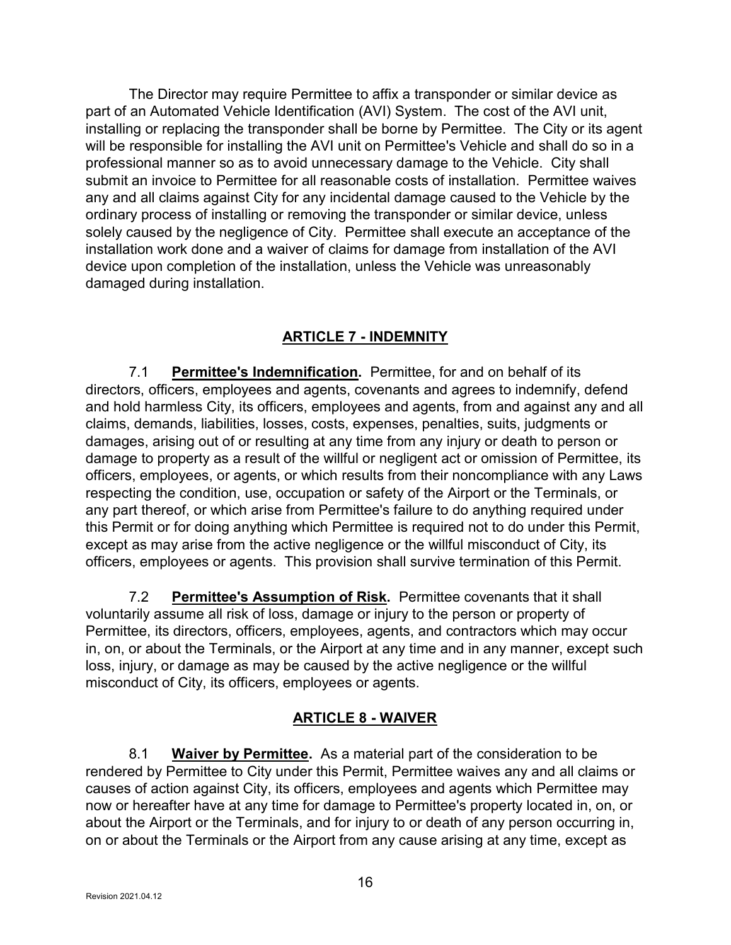The Director may require Permittee to affix a transponder or similar device as part of an Automated Vehicle Identification (AVI) System. The cost of the AVI unit, installing or replacing the transponder shall be borne by Permittee. The City or its agent will be responsible for installing the AVI unit on Permittee's Vehicle and shall do so in a professional manner so as to avoid unnecessary damage to the Vehicle. City shall submit an invoice to Permittee for all reasonable costs of installation. Permittee waives any and all claims against City for any incidental damage caused to the Vehicle by the ordinary process of installing or removing the transponder or similar device, unless solely caused by the negligence of City. Permittee shall execute an acceptance of the installation work done and a waiver of claims for damage from installation of the AVI device upon completion of the installation, unless the Vehicle was unreasonably damaged during installation.

## ARTICLE 7 - INDEMNITY

7.1 Permittee's Indemnification. Permittee, for and on behalf of its directors, officers, employees and agents, covenants and agrees to indemnify, defend and hold harmless City, its officers, employees and agents, from and against any and all claims, demands, liabilities, losses, costs, expenses, penalties, suits, judgments or damages, arising out of or resulting at any time from any injury or death to person or damage to property as a result of the willful or negligent act or omission of Permittee, its officers, employees, or agents, or which results from their noncompliance with any Laws respecting the condition, use, occupation or safety of the Airport or the Terminals, or any part thereof, or which arise from Permittee's failure to do anything required under this Permit or for doing anything which Permittee is required not to do under this Permit, except as may arise from the active negligence or the willful misconduct of City, its officers, employees or agents. This provision shall survive termination of this Permit.

7.2 Permittee's Assumption of Risk. Permittee covenants that it shall voluntarily assume all risk of loss, damage or injury to the person or property of Permittee, its directors, officers, employees, agents, and contractors which may occur in, on, or about the Terminals, or the Airport at any time and in any manner, except such loss, injury, or damage as may be caused by the active negligence or the willful misconduct of City, its officers, employees or agents.

## ARTICLE 8 - WAIVER

8.1 Waiver by Permittee. As a material part of the consideration to be rendered by Permittee to City under this Permit, Permittee waives any and all claims or causes of action against City, its officers, employees and agents which Permittee may now or hereafter have at any time for damage to Permittee's property located in, on, or about the Airport or the Terminals, and for injury to or death of any person occurring in, on or about the Terminals or the Airport from any cause arising at any time, except as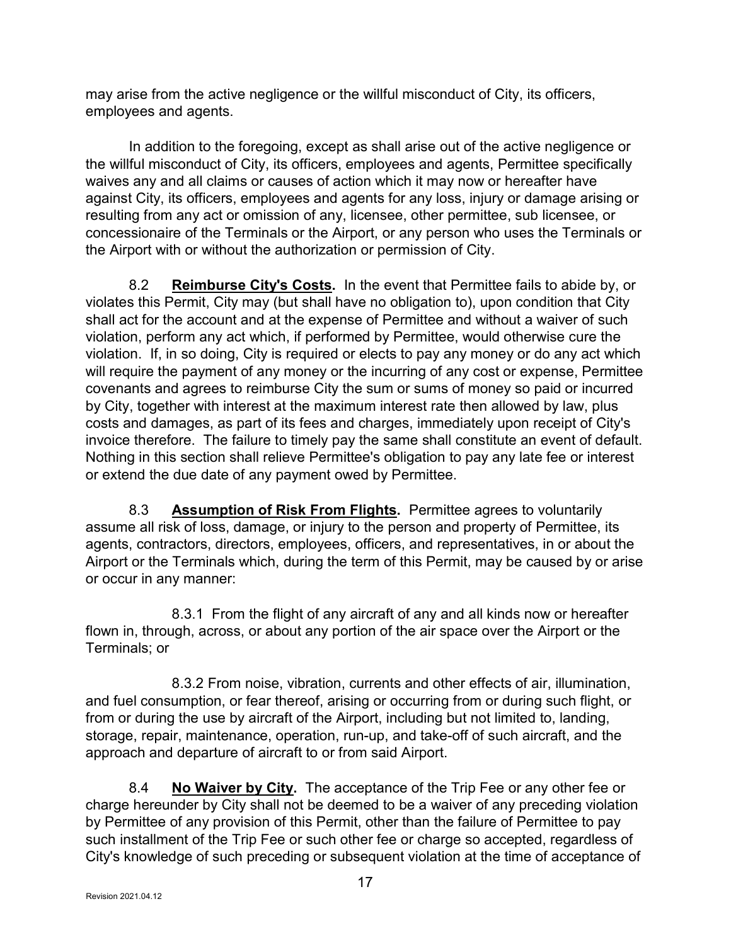may arise from the active negligence or the willful misconduct of City, its officers, employees and agents.

 In addition to the foregoing, except as shall arise out of the active negligence or the willful misconduct of City, its officers, employees and agents, Permittee specifically waives any and all claims or causes of action which it may now or hereafter have against City, its officers, employees and agents for any loss, injury or damage arising or resulting from any act or omission of any, licensee, other permittee, sub licensee, or concessionaire of the Terminals or the Airport, or any person who uses the Terminals or the Airport with or without the authorization or permission of City.

8.2 Reimburse City's Costs. In the event that Permittee fails to abide by, or violates this Permit, City may (but shall have no obligation to), upon condition that City shall act for the account and at the expense of Permittee and without a waiver of such violation, perform any act which, if performed by Permittee, would otherwise cure the violation. If, in so doing, City is required or elects to pay any money or do any act which will require the payment of any money or the incurring of any cost or expense, Permittee covenants and agrees to reimburse City the sum or sums of money so paid or incurred by City, together with interest at the maximum interest rate then allowed by law, plus costs and damages, as part of its fees and charges, immediately upon receipt of City's invoice therefore. The failure to timely pay the same shall constitute an event of default. Nothing in this section shall relieve Permittee's obligation to pay any late fee or interest or extend the due date of any payment owed by Permittee.

8.3 **Assumption of Risk From Flights.** Permittee agrees to voluntarily assume all risk of loss, damage, or injury to the person and property of Permittee, its agents, contractors, directors, employees, officers, and representatives, in or about the Airport or the Terminals which, during the term of this Permit, may be caused by or arise or occur in any manner:

 8.3.1 From the flight of any aircraft of any and all kinds now or hereafter flown in, through, across, or about any portion of the air space over the Airport or the Terminals; or

 8.3.2 From noise, vibration, currents and other effects of air, illumination, and fuel consumption, or fear thereof, arising or occurring from or during such flight, or from or during the use by aircraft of the Airport, including but not limited to, landing, storage, repair, maintenance, operation, run-up, and take-off of such aircraft, and the approach and departure of aircraft to or from said Airport.

8.4 No Waiver by City. The acceptance of the Trip Fee or any other fee or charge hereunder by City shall not be deemed to be a waiver of any preceding violation by Permittee of any provision of this Permit, other than the failure of Permittee to pay such installment of the Trip Fee or such other fee or charge so accepted, regardless of City's knowledge of such preceding or subsequent violation at the time of acceptance of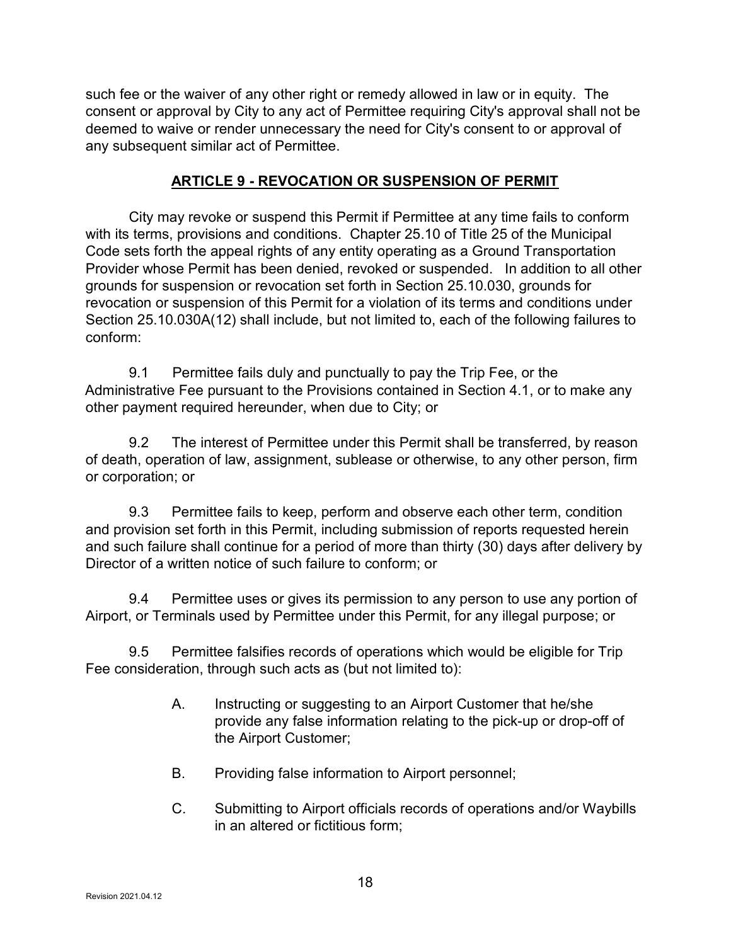such fee or the waiver of any other right or remedy allowed in law or in equity. The consent or approval by City to any act of Permittee requiring City's approval shall not be deemed to waive or render unnecessary the need for City's consent to or approval of any subsequent similar act of Permittee.

#### ARTICLE 9 - REVOCATION OR SUSPENSION OF PERMIT

 City may revoke or suspend this Permit if Permittee at any time fails to conform with its terms, provisions and conditions. Chapter 25.10 of Title 25 of the Municipal Code sets forth the appeal rights of any entity operating as a Ground Transportation Provider whose Permit has been denied, revoked or suspended. In addition to all other grounds for suspension or revocation set forth in Section 25.10.030, grounds for revocation or suspension of this Permit for a violation of its terms and conditions under Section 25.10.030A(12) shall include, but not limited to, each of the following failures to conform:

 9.1 Permittee fails duly and punctually to pay the Trip Fee, or the Administrative Fee pursuant to the Provisions contained in Section 4.1, or to make any other payment required hereunder, when due to City; or

 9.2 The interest of Permittee under this Permit shall be transferred, by reason of death, operation of law, assignment, sublease or otherwise, to any other person, firm or corporation; or

 9.3 Permittee fails to keep, perform and observe each other term, condition and provision set forth in this Permit, including submission of reports requested herein and such failure shall continue for a period of more than thirty (30) days after delivery by Director of a written notice of such failure to conform; or

 9.4 Permittee uses or gives its permission to any person to use any portion of Airport, or Terminals used by Permittee under this Permit, for any illegal purpose; or

 9.5 Permittee falsifies records of operations which would be eligible for Trip Fee consideration, through such acts as (but not limited to):

- A. Instructing or suggesting to an Airport Customer that he/she provide any false information relating to the pick-up or drop-off of the Airport Customer;
- B. Providing false information to Airport personnel;
- C. Submitting to Airport officials records of operations and/or Waybills in an altered or fictitious form;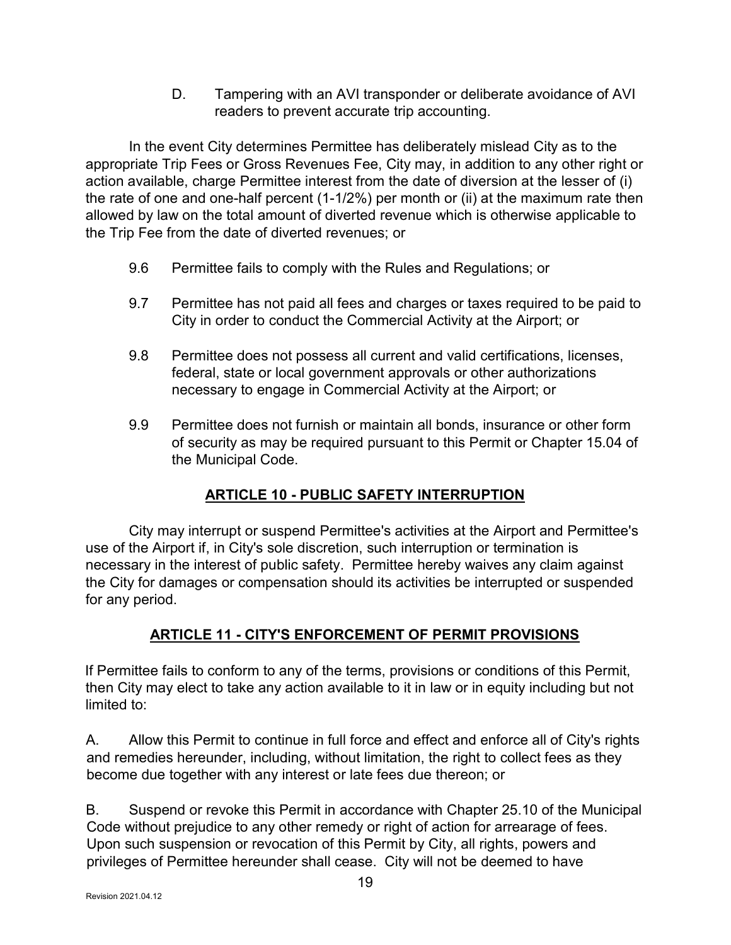D. Tampering with an AVI transponder or deliberate avoidance of AVI readers to prevent accurate trip accounting.

 In the event City determines Permittee has deliberately mislead City as to the appropriate Trip Fees or Gross Revenues Fee, City may, in addition to any other right or action available, charge Permittee interest from the date of diversion at the lesser of (i) the rate of one and one-half percent (1-1/2%) per month or (ii) at the maximum rate then allowed by law on the total amount of diverted revenue which is otherwise applicable to the Trip Fee from the date of diverted revenues; or

- 9.6 Permittee fails to comply with the Rules and Regulations; or
- 9.7 Permittee has not paid all fees and charges or taxes required to be paid to City in order to conduct the Commercial Activity at the Airport; or
- 9.8 Permittee does not possess all current and valid certifications, licenses, federal, state or local government approvals or other authorizations necessary to engage in Commercial Activity at the Airport; or
- 9.9 Permittee does not furnish or maintain all bonds, insurance or other form of security as may be required pursuant to this Permit or Chapter 15.04 of the Municipal Code.

## ARTICLE 10 - PUBLIC SAFETY INTERRUPTION

 City may interrupt or suspend Permittee's activities at the Airport and Permittee's use of the Airport if, in City's sole discretion, such interruption or termination is necessary in the interest of public safety. Permittee hereby waives any claim against the City for damages or compensation should its activities be interrupted or suspended for any period.

## ARTICLE 11 - CITY'S ENFORCEMENT OF PERMIT PROVISIONS

If Permittee fails to conform to any of the terms, provisions or conditions of this Permit, then City may elect to take any action available to it in law or in equity including but not limited to:

A. Allow this Permit to continue in full force and effect and enforce all of City's rights and remedies hereunder, including, without limitation, the right to collect fees as they become due together with any interest or late fees due thereon; or

B. Suspend or revoke this Permit in accordance with Chapter 25.10 of the Municipal Code without prejudice to any other remedy or right of action for arrearage of fees. Upon such suspension or revocation of this Permit by City, all rights, powers and privileges of Permittee hereunder shall cease. City will not be deemed to have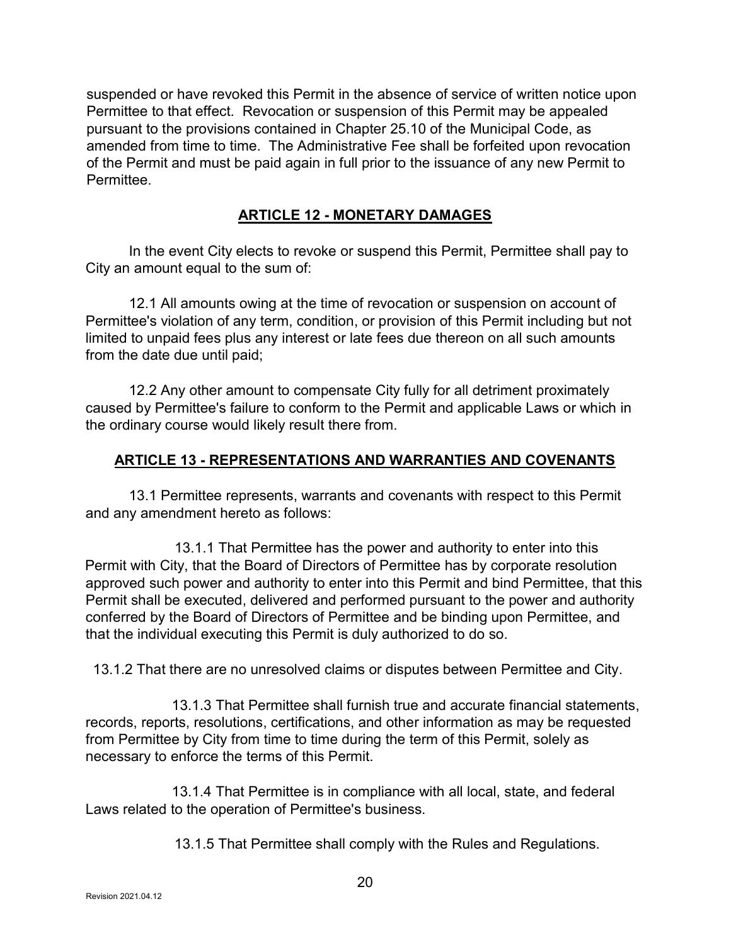suspended or have revoked this Permit in the absence of service of written notice upon Permittee to that effect. Revocation or suspension of this Permit may be appealed pursuant to the provisions contained in Chapter 25.10 of the Municipal Code, as amended from time to time. The Administrative Fee shall be forfeited upon revocation of the Permit and must be paid again in full prior to the issuance of any new Permit to Permittee.

#### ARTICLE 12 - MONETARY DAMAGES

 In the event City elects to revoke or suspend this Permit, Permittee shall pay to City an amount equal to the sum of:

 12.1 All amounts owing at the time of revocation or suspension on account of Permittee's violation of any term, condition, or provision of this Permit including but not limited to unpaid fees plus any interest or late fees due thereon on all such amounts from the date due until paid;

 12.2 Any other amount to compensate City fully for all detriment proximately caused by Permittee's failure to conform to the Permit and applicable Laws or which in the ordinary course would likely result there from.

#### ARTICLE 13 - REPRESENTATIONS AND WARRANTIES AND COVENANTS

 13.1 Permittee represents, warrants and covenants with respect to this Permit and any amendment hereto as follows:

 13.1.1 That Permittee has the power and authority to enter into this Permit with City, that the Board of Directors of Permittee has by corporate resolution approved such power and authority to enter into this Permit and bind Permittee, that this Permit shall be executed, delivered and performed pursuant to the power and authority conferred by the Board of Directors of Permittee and be binding upon Permittee, and that the individual executing this Permit is duly authorized to do so.

13.1.2 That there are no unresolved claims or disputes between Permittee and City.

 13.1.3 That Permittee shall furnish true and accurate financial statements, records, reports, resolutions, certifications, and other information as may be requested from Permittee by City from time to time during the term of this Permit, solely as necessary to enforce the terms of this Permit.

 13.1.4 That Permittee is in compliance with all local, state, and federal Laws related to the operation of Permittee's business.

13.1.5 That Permittee shall comply with the Rules and Regulations.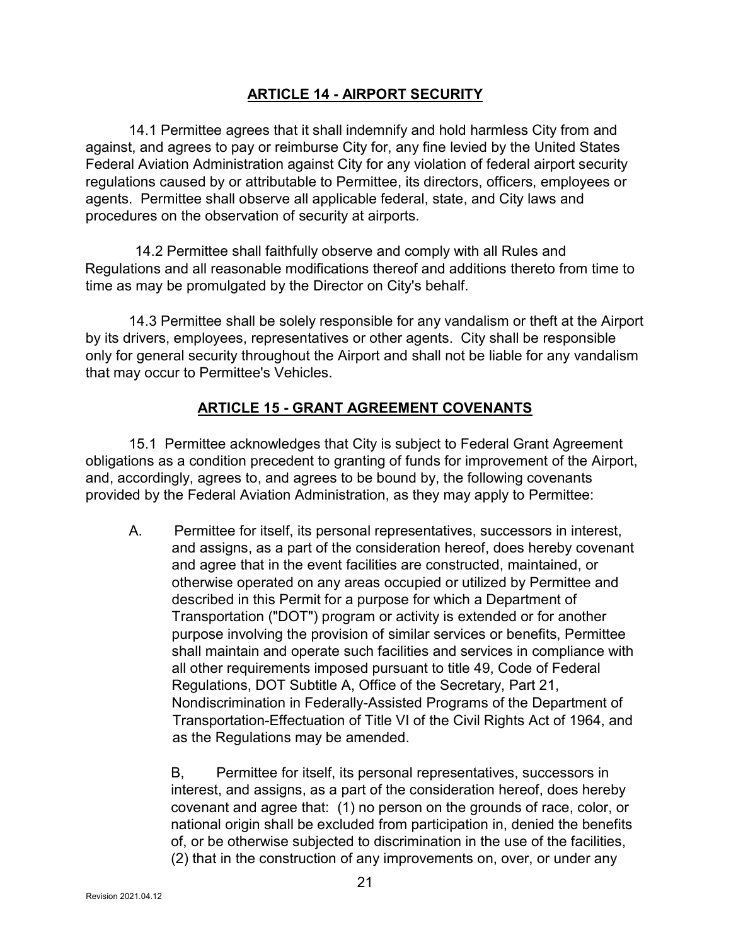### ARTICLE 14 - AIRPORT SECURITY

 14.1 Permittee agrees that it shall indemnify and hold harmless City from and against, and agrees to pay or reimburse City for, any fine levied by the United States Federal Aviation Administration against City for any violation of federal airport security regulations caused by or attributable to Permittee, its directors, officers, employees or agents. Permittee shall observe all applicable federal, state, and City laws and procedures on the observation of security at airports.

 14.2 Permittee shall faithfully observe and comply with all Rules and Regulations and all reasonable modifications thereof and additions thereto from time to time as may be promulgated by the Director on City's behalf.

 14.3 Permittee shall be solely responsible for any vandalism or theft at the Airport by its drivers, employees, representatives or other agents. City shall be responsible only for general security throughout the Airport and shall not be liable for any vandalism that may occur to Permittee's Vehicles.

### ARTICLE 15 - GRANT AGREEMENT COVENANTS

 15.1 Permittee acknowledges that City is subject to Federal Grant Agreement obligations as a condition precedent to granting of funds for improvement of the Airport, and, accordingly, agrees to, and agrees to be bound by, the following covenants provided by the Federal Aviation Administration, as they may apply to Permittee:

A. Permittee for itself, its personal representatives, successors in interest, and assigns, as a part of the consideration hereof, does hereby covenant and agree that in the event facilities are constructed, maintained, or otherwise operated on any areas occupied or utilized by Permittee and described in this Permit for a purpose for which a Department of Transportation ("DOT") program or activity is extended or for another purpose involving the provision of similar services or benefits, Permittee shall maintain and operate such facilities and services in compliance with all other requirements imposed pursuant to title 49, Code of Federal Regulations, DOT Subtitle A, Office of the Secretary, Part 21, Nondiscrimination in Federally-Assisted Programs of the Department of Transportation-Effectuation of Title VI of the Civil Rights Act of 1964, and as the Regulations may be amended.

 B, Permittee for itself, its personal representatives, successors in interest, and assigns, as a part of the consideration hereof, does hereby covenant and agree that: (1) no person on the grounds of race, color, or national origin shall be excluded from participation in, denied the benefits of, or be otherwise subjected to discrimination in the use of the facilities, (2) that in the construction of any improvements on, over, or under any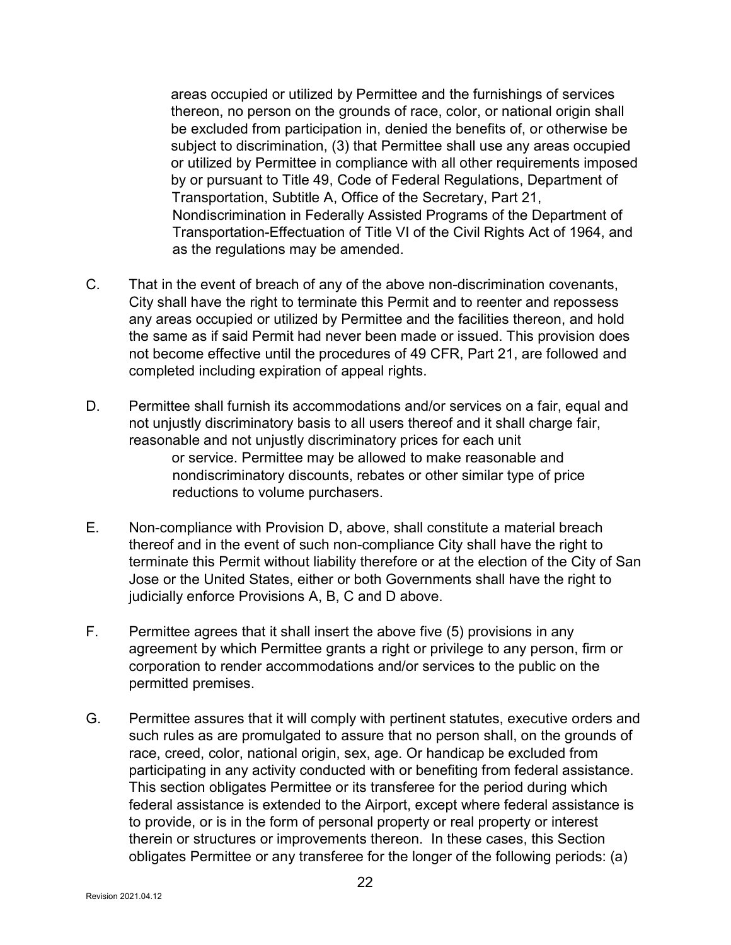areas occupied or utilized by Permittee and the furnishings of services thereon, no person on the grounds of race, color, or national origin shall be excluded from participation in, denied the benefits of, or otherwise be subject to discrimination, (3) that Permittee shall use any areas occupied or utilized by Permittee in compliance with all other requirements imposed by or pursuant to Title 49, Code of Federal Regulations, Department of Transportation, Subtitle A, Office of the Secretary, Part 21, Nondiscrimination in Federally Assisted Programs of the Department of Transportation-Effectuation of Title VI of the Civil Rights Act of 1964, and as the regulations may be amended.

- C. That in the event of breach of any of the above non-discrimination covenants, City shall have the right to terminate this Permit and to reenter and repossess any areas occupied or utilized by Permittee and the facilities thereon, and hold the same as if said Permit had never been made or issued. This provision does not become effective until the procedures of 49 CFR, Part 21, are followed and completed including expiration of appeal rights.
- D. Permittee shall furnish its accommodations and/or services on a fair, equal and not unjustly discriminatory basis to all users thereof and it shall charge fair, reasonable and not unjustly discriminatory prices for each unit or service. Permittee may be allowed to make reasonable and nondiscriminatory discounts, rebates or other similar type of price reductions to volume purchasers.
- E. Non-compliance with Provision D, above, shall constitute a material breach thereof and in the event of such non-compliance City shall have the right to terminate this Permit without liability therefore or at the election of the City of San Jose or the United States, either or both Governments shall have the right to judicially enforce Provisions A, B, C and D above.
- F. Permittee agrees that it shall insert the above five (5) provisions in any agreement by which Permittee grants a right or privilege to any person, firm or corporation to render accommodations and/or services to the public on the permitted premises.
- G. Permittee assures that it will comply with pertinent statutes, executive orders and such rules as are promulgated to assure that no person shall, on the grounds of race, creed, color, national origin, sex, age. Or handicap be excluded from participating in any activity conducted with or benefiting from federal assistance. This section obligates Permittee or its transferee for the period during which federal assistance is extended to the Airport, except where federal assistance is to provide, or is in the form of personal property or real property or interest therein or structures or improvements thereon. In these cases, this Section obligates Permittee or any transferee for the longer of the following periods: (a)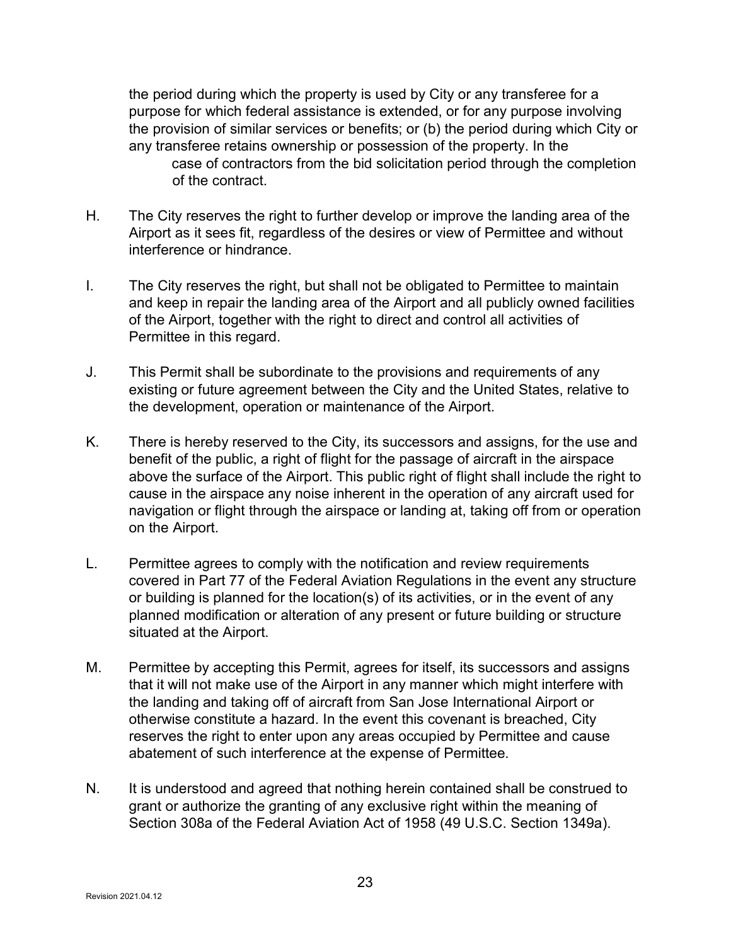the period during which the property is used by City or any transferee for a purpose for which federal assistance is extended, or for any purpose involving the provision of similar services or benefits; or (b) the period during which City or any transferee retains ownership or possession of the property. In the case of contractors from the bid solicitation period through the completion of the contract.

- H. The City reserves the right to further develop or improve the landing area of the Airport as it sees fit, regardless of the desires or view of Permittee and without interference or hindrance.
- I. The City reserves the right, but shall not be obligated to Permittee to maintain and keep in repair the landing area of the Airport and all publicly owned facilities of the Airport, together with the right to direct and control all activities of Permittee in this regard.
- J. This Permit shall be subordinate to the provisions and requirements of any existing or future agreement between the City and the United States, relative to the development, operation or maintenance of the Airport.
- K. There is hereby reserved to the City, its successors and assigns, for the use and benefit of the public, a right of flight for the passage of aircraft in the airspace above the surface of the Airport. This public right of flight shall include the right to cause in the airspace any noise inherent in the operation of any aircraft used for navigation or flight through the airspace or landing at, taking off from or operation on the Airport.
- L. Permittee agrees to comply with the notification and review requirements covered in Part 77 of the Federal Aviation Regulations in the event any structure or building is planned for the location(s) of its activities, or in the event of any planned modification or alteration of any present or future building or structure situated at the Airport.
- M. Permittee by accepting this Permit, agrees for itself, its successors and assigns that it will not make use of the Airport in any manner which might interfere with the landing and taking off of aircraft from San Jose International Airport or otherwise constitute a hazard. In the event this covenant is breached, City reserves the right to enter upon any areas occupied by Permittee and cause abatement of such interference at the expense of Permittee.
- N. It is understood and agreed that nothing herein contained shall be construed to grant or authorize the granting of any exclusive right within the meaning of Section 308a of the Federal Aviation Act of 1958 (49 U.S.C. Section 1349a).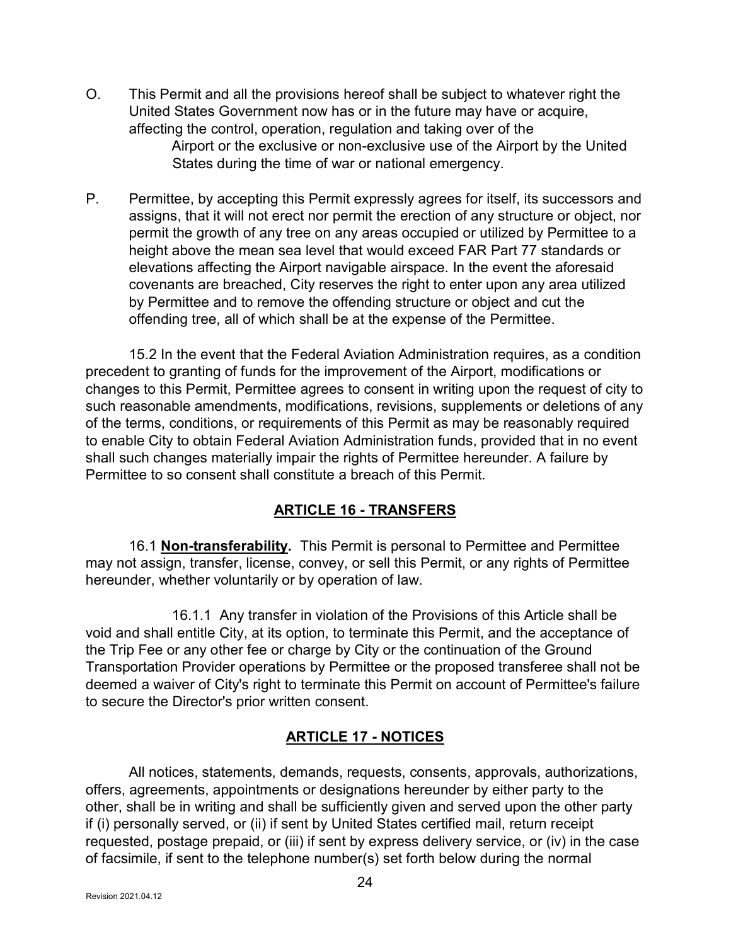- O. This Permit and all the provisions hereof shall be subject to whatever right the United States Government now has or in the future may have or acquire, affecting the control, operation, regulation and taking over of the Airport or the exclusive or non-exclusive use of the Airport by the United States during the time of war or national emergency.
- P. Permittee, by accepting this Permit expressly agrees for itself, its successors and assigns, that it will not erect nor permit the erection of any structure or object, nor permit the growth of any tree on any areas occupied or utilized by Permittee to a height above the mean sea level that would exceed FAR Part 77 standards or elevations affecting the Airport navigable airspace. In the event the aforesaid covenants are breached, City reserves the right to enter upon any area utilized by Permittee and to remove the offending structure or object and cut the offending tree, all of which shall be at the expense of the Permittee.

 15.2 In the event that the Federal Aviation Administration requires, as a condition precedent to granting of funds for the improvement of the Airport, modifications or changes to this Permit, Permittee agrees to consent in writing upon the request of city to such reasonable amendments, modifications, revisions, supplements or deletions of any of the terms, conditions, or requirements of this Permit as may be reasonably required to enable City to obtain Federal Aviation Administration funds, provided that in no event shall such changes materially impair the rights of Permittee hereunder. A failure by Permittee to so consent shall constitute a breach of this Permit.

### ARTICLE 16 - TRANSFERS

 16.1 Non-transferability. This Permit is personal to Permittee and Permittee may not assign, transfer, license, convey, or sell this Permit, or any rights of Permittee hereunder, whether voluntarily or by operation of law.

 16.1.1 Any transfer in violation of the Provisions of this Article shall be void and shall entitle City, at its option, to terminate this Permit, and the acceptance of the Trip Fee or any other fee or charge by City or the continuation of the Ground Transportation Provider operations by Permittee or the proposed transferee shall not be deemed a waiver of City's right to terminate this Permit on account of Permittee's failure to secure the Director's prior written consent.

### ARTICLE 17 - NOTICES

 All notices, statements, demands, requests, consents, approvals, authorizations, offers, agreements, appointments or designations hereunder by either party to the other, shall be in writing and shall be sufficiently given and served upon the other party if (i) personally served, or (ii) if sent by United States certified mail, return receipt requested, postage prepaid, or (iii) if sent by express delivery service, or (iv) in the case of facsimile, if sent to the telephone number(s) set forth below during the normal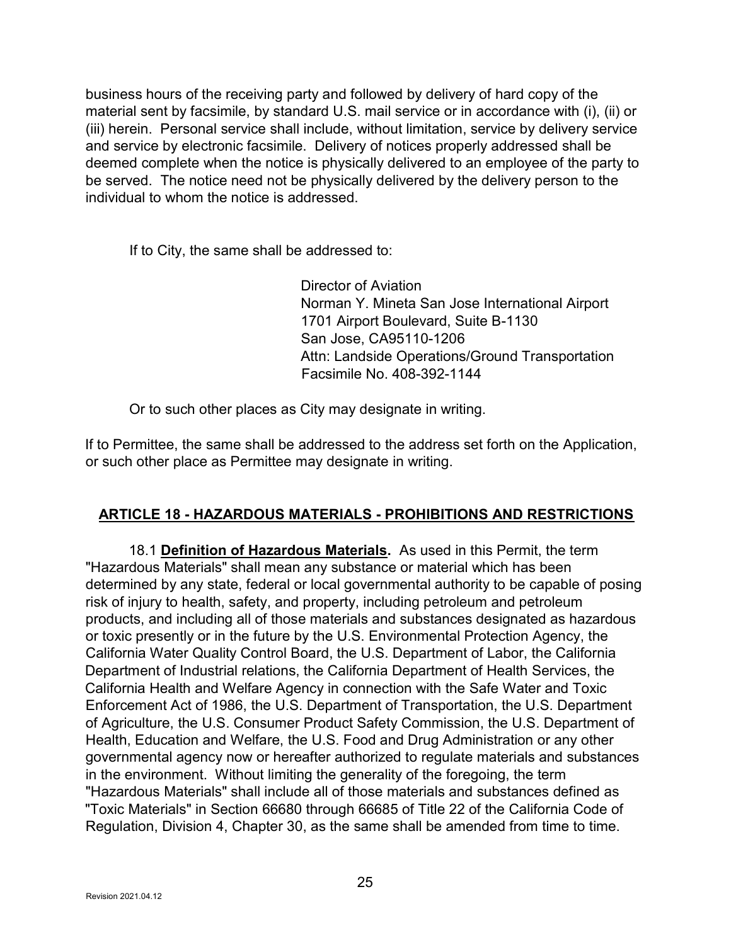business hours of the receiving party and followed by delivery of hard copy of the material sent by facsimile, by standard U.S. mail service or in accordance with (i), (ii) or (iii) herein. Personal service shall include, without limitation, service by delivery service and service by electronic facsimile. Delivery of notices properly addressed shall be deemed complete when the notice is physically delivered to an employee of the party to be served. The notice need not be physically delivered by the delivery person to the individual to whom the notice is addressed.

If to City, the same shall be addressed to:

Director of Aviation Norman Y. Mineta San Jose International Airport 1701 Airport Boulevard, Suite B-1130 San Jose, CA95110-1206 Attn: Landside Operations/Ground Transportation Facsimile No. 408-392-1144

Or to such other places as City may designate in writing.

If to Permittee, the same shall be addressed to the address set forth on the Application, or such other place as Permittee may designate in writing.

### ARTICLE 18 - HAZARDOUS MATERIALS - PROHIBITIONS AND RESTRICTIONS

 18.1 Definition of Hazardous Materials. As used in this Permit, the term "Hazardous Materials" shall mean any substance or material which has been determined by any state, federal or local governmental authority to be capable of posing risk of injury to health, safety, and property, including petroleum and petroleum products, and including all of those materials and substances designated as hazardous or toxic presently or in the future by the U.S. Environmental Protection Agency, the California Water Quality Control Board, the U.S. Department of Labor, the California Department of Industrial relations, the California Department of Health Services, the California Health and Welfare Agency in connection with the Safe Water and Toxic Enforcement Act of 1986, the U.S. Department of Transportation, the U.S. Department of Agriculture, the U.S. Consumer Product Safety Commission, the U.S. Department of Health, Education and Welfare, the U.S. Food and Drug Administration or any other governmental agency now or hereafter authorized to regulate materials and substances in the environment. Without limiting the generality of the foregoing, the term "Hazardous Materials" shall include all of those materials and substances defined as "Toxic Materials" in Section 66680 through 66685 of Title 22 of the California Code of Regulation, Division 4, Chapter 30, as the same shall be amended from time to time.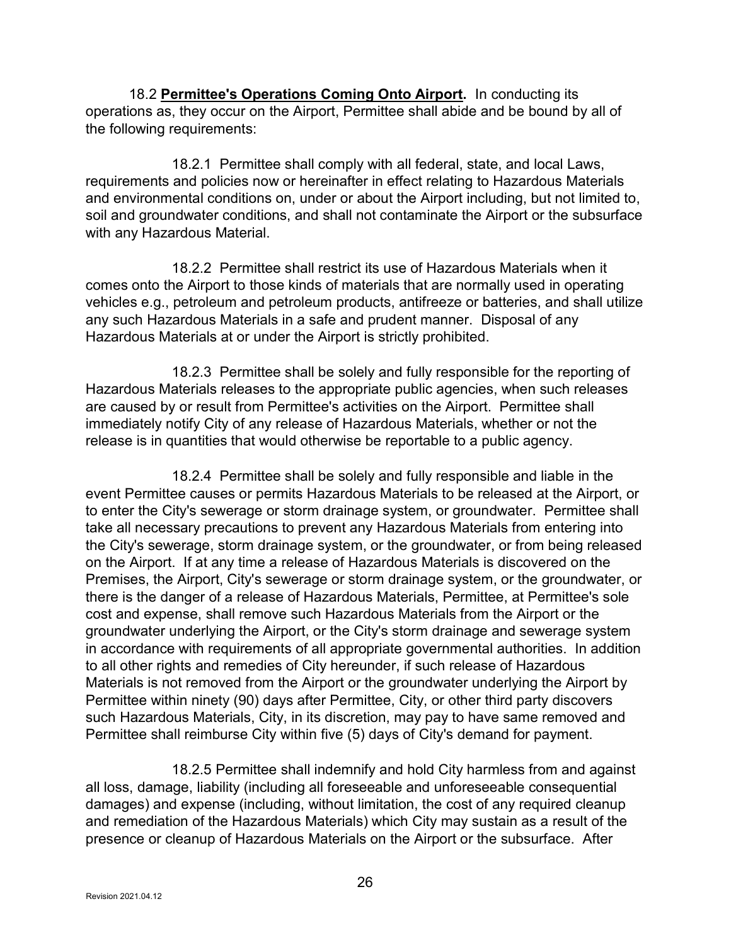18.2 Permittee's Operations Coming Onto Airport. In conducting its operations as, they occur on the Airport, Permittee shall abide and be bound by all of the following requirements:

 18.2.1 Permittee shall comply with all federal, state, and local Laws, requirements and policies now or hereinafter in effect relating to Hazardous Materials and environmental conditions on, under or about the Airport including, but not limited to, soil and groundwater conditions, and shall not contaminate the Airport or the subsurface with any Hazardous Material.

 18.2.2 Permittee shall restrict its use of Hazardous Materials when it comes onto the Airport to those kinds of materials that are normally used in operating vehicles e.g., petroleum and petroleum products, antifreeze or batteries, and shall utilize any such Hazardous Materials in a safe and prudent manner. Disposal of any Hazardous Materials at or under the Airport is strictly prohibited.

 18.2.3 Permittee shall be solely and fully responsible for the reporting of Hazardous Materials releases to the appropriate public agencies, when such releases are caused by or result from Permittee's activities on the Airport. Permittee shall immediately notify City of any release of Hazardous Materials, whether or not the release is in quantities that would otherwise be reportable to a public agency.

 18.2.4 Permittee shall be solely and fully responsible and liable in the event Permittee causes or permits Hazardous Materials to be released at the Airport, or to enter the City's sewerage or storm drainage system, or groundwater. Permittee shall take all necessary precautions to prevent any Hazardous Materials from entering into the City's sewerage, storm drainage system, or the groundwater, or from being released on the Airport. If at any time a release of Hazardous Materials is discovered on the Premises, the Airport, City's sewerage or storm drainage system, or the groundwater, or there is the danger of a release of Hazardous Materials, Permittee, at Permittee's sole cost and expense, shall remove such Hazardous Materials from the Airport or the groundwater underlying the Airport, or the City's storm drainage and sewerage system in accordance with requirements of all appropriate governmental authorities. In addition to all other rights and remedies of City hereunder, if such release of Hazardous Materials is not removed from the Airport or the groundwater underlying the Airport by Permittee within ninety (90) days after Permittee, City, or other third party discovers such Hazardous Materials, City, in its discretion, may pay to have same removed and Permittee shall reimburse City within five (5) days of City's demand for payment.

 18.2.5 Permittee shall indemnify and hold City harmless from and against all loss, damage, liability (including all foreseeable and unforeseeable consequential damages) and expense (including, without limitation, the cost of any required cleanup and remediation of the Hazardous Materials) which City may sustain as a result of the presence or cleanup of Hazardous Materials on the Airport or the subsurface. After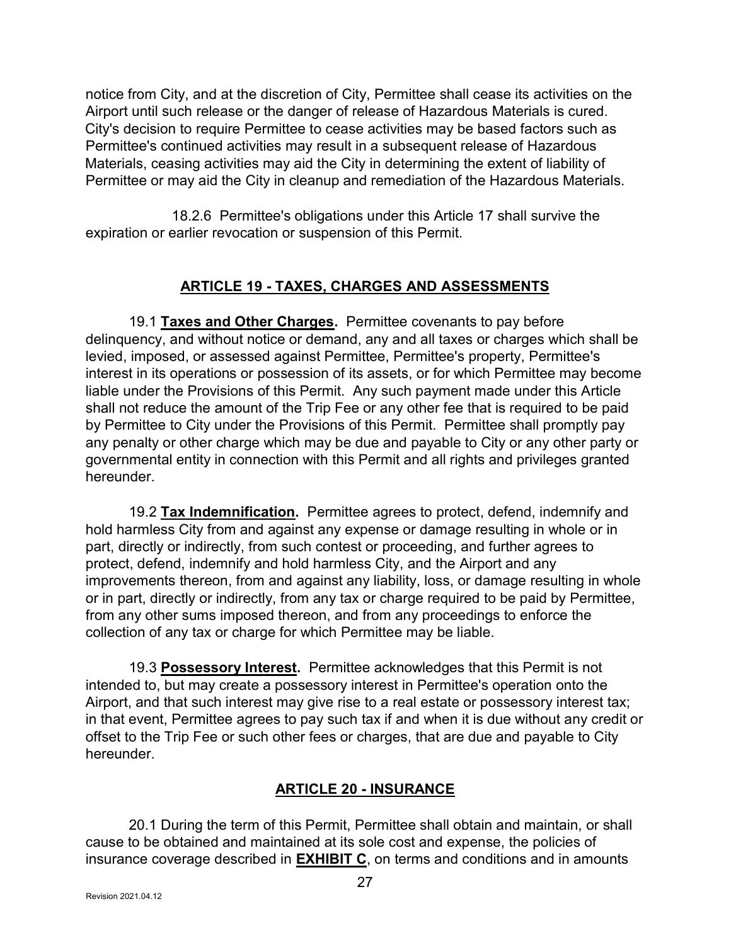notice from City, and at the discretion of City, Permittee shall cease its activities on the Airport until such release or the danger of release of Hazardous Materials is cured. City's decision to require Permittee to cease activities may be based factors such as Permittee's continued activities may result in a subsequent release of Hazardous Materials, ceasing activities may aid the City in determining the extent of liability of Permittee or may aid the City in cleanup and remediation of the Hazardous Materials.

 18.2.6 Permittee's obligations under this Article 17 shall survive the expiration or earlier revocation or suspension of this Permit.

## ARTICLE 19 - TAXES, CHARGES AND ASSESSMENTS

19.1 Taxes and Other Charges. Permittee covenants to pay before delinquency, and without notice or demand, any and all taxes or charges which shall be levied, imposed, or assessed against Permittee, Permittee's property, Permittee's interest in its operations or possession of its assets, or for which Permittee may become liable under the Provisions of this Permit. Any such payment made under this Article shall not reduce the amount of the Trip Fee or any other fee that is required to be paid by Permittee to City under the Provisions of this Permit. Permittee shall promptly pay any penalty or other charge which may be due and payable to City or any other party or governmental entity in connection with this Permit and all rights and privileges granted hereunder.

 19.2 Tax Indemnification. Permittee agrees to protect, defend, indemnify and hold harmless City from and against any expense or damage resulting in whole or in part, directly or indirectly, from such contest or proceeding, and further agrees to protect, defend, indemnify and hold harmless City, and the Airport and any improvements thereon, from and against any liability, loss, or damage resulting in whole or in part, directly or indirectly, from any tax or charge required to be paid by Permittee, from any other sums imposed thereon, and from any proceedings to enforce the collection of any tax or charge for which Permittee may be liable.

19.3 Possessory Interest. Permittee acknowledges that this Permit is not intended to, but may create a possessory interest in Permittee's operation onto the Airport, and that such interest may give rise to a real estate or possessory interest tax; in that event, Permittee agrees to pay such tax if and when it is due without any credit or offset to the Trip Fee or such other fees or charges, that are due and payable to City hereunder.

### ARTICLE 20 - INSURANCE

 20.1 During the term of this Permit, Permittee shall obtain and maintain, or shall cause to be obtained and maintained at its sole cost and expense, the policies of insurance coverage described in **EXHIBIT C**, on terms and conditions and in amounts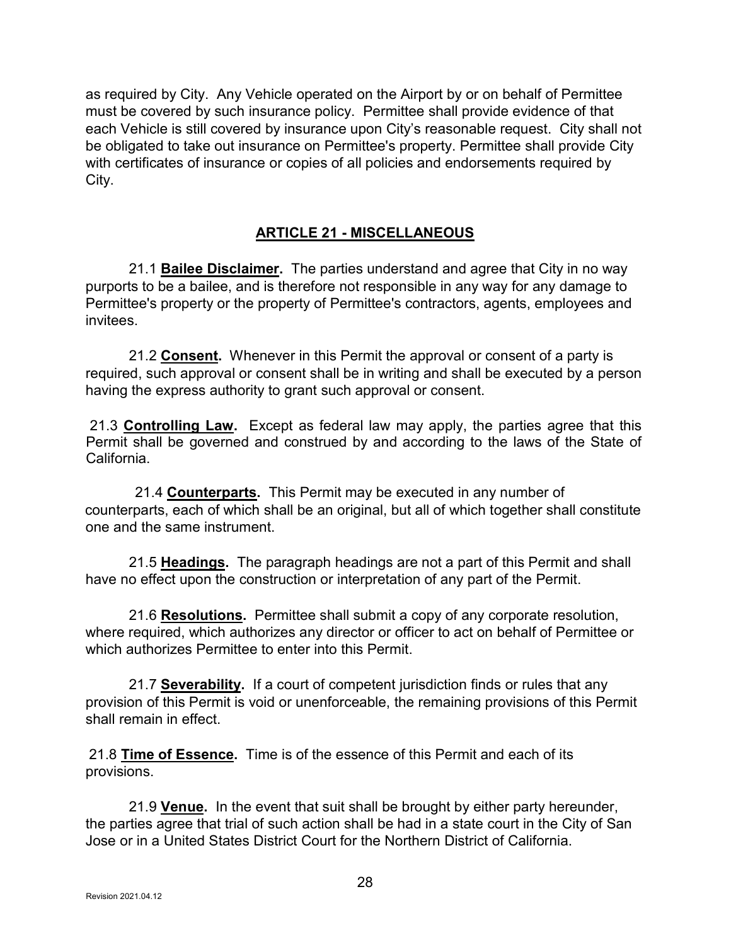as required by City. Any Vehicle operated on the Airport by or on behalf of Permittee must be covered by such insurance policy. Permittee shall provide evidence of that each Vehicle is still covered by insurance upon City's reasonable request. City shall not be obligated to take out insurance on Permittee's property. Permittee shall provide City with certificates of insurance or copies of all policies and endorsements required by City.

#### ARTICLE 21 - MISCELLANEOUS

21.1 Bailee Disclaimer. The parties understand and agree that City in no way purports to be a bailee, and is therefore not responsible in any way for any damage to Permittee's property or the property of Permittee's contractors, agents, employees and invitees.

21.2 Consent. Whenever in this Permit the approval or consent of a party is required, such approval or consent shall be in writing and shall be executed by a person having the express authority to grant such approval or consent.

21.3 **Controlling Law.** Except as federal law may apply, the parties agree that this Permit shall be governed and construed by and according to the laws of the State of California.

21.4 **Counterparts**. This Permit may be executed in any number of counterparts, each of which shall be an original, but all of which together shall constitute one and the same instrument.

21.5 Headings. The paragraph headings are not a part of this Permit and shall have no effect upon the construction or interpretation of any part of the Permit.

21.6 Resolutions. Permittee shall submit a copy of any corporate resolution, where required, which authorizes any director or officer to act on behalf of Permittee or which authorizes Permittee to enter into this Permit.

21.7 Severability. If a court of competent jurisdiction finds or rules that any provision of this Permit is void or unenforceable, the remaining provisions of this Permit shall remain in effect

 21.8 Time of Essence. Time is of the essence of this Permit and each of its provisions.

21.9 Venue. In the event that suit shall be brought by either party hereunder, the parties agree that trial of such action shall be had in a state court in the City of San Jose or in a United States District Court for the Northern District of California.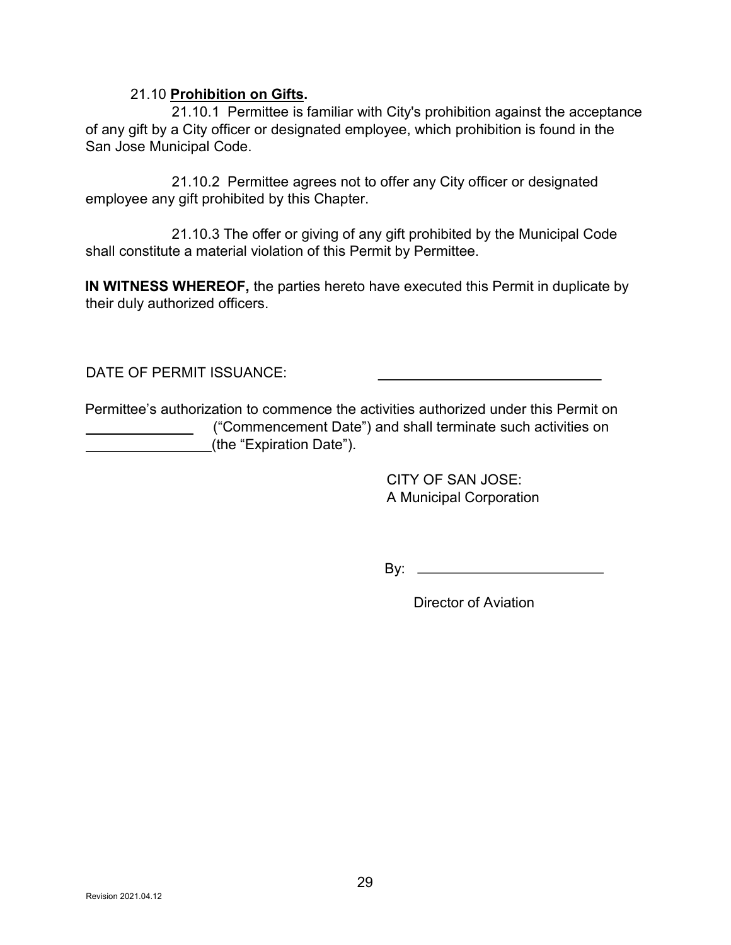#### 21.10 Prohibition on Gifts.

 21.10.1 Permittee is familiar with City's prohibition against the acceptance of any gift by a City officer or designated employee, which prohibition is found in the San Jose Municipal Code.

 21.10.2 Permittee agrees not to offer any City officer or designated employee any gift prohibited by this Chapter.

 21.10.3 The offer or giving of any gift prohibited by the Municipal Code shall constitute a material violation of this Permit by Permittee.

IN WITNESS WHEREOF, the parties hereto have executed this Permit in duplicate by their duly authorized officers.

DATE OF PERMIT ISSUANCE:

Permittee's authorization to commence the activities authorized under this Permit on ("Commencement Date") and shall terminate such activities on (the "Expiration Date").

> CITY OF SAN JOSE: A Municipal Corporation

By:

Director of Aviation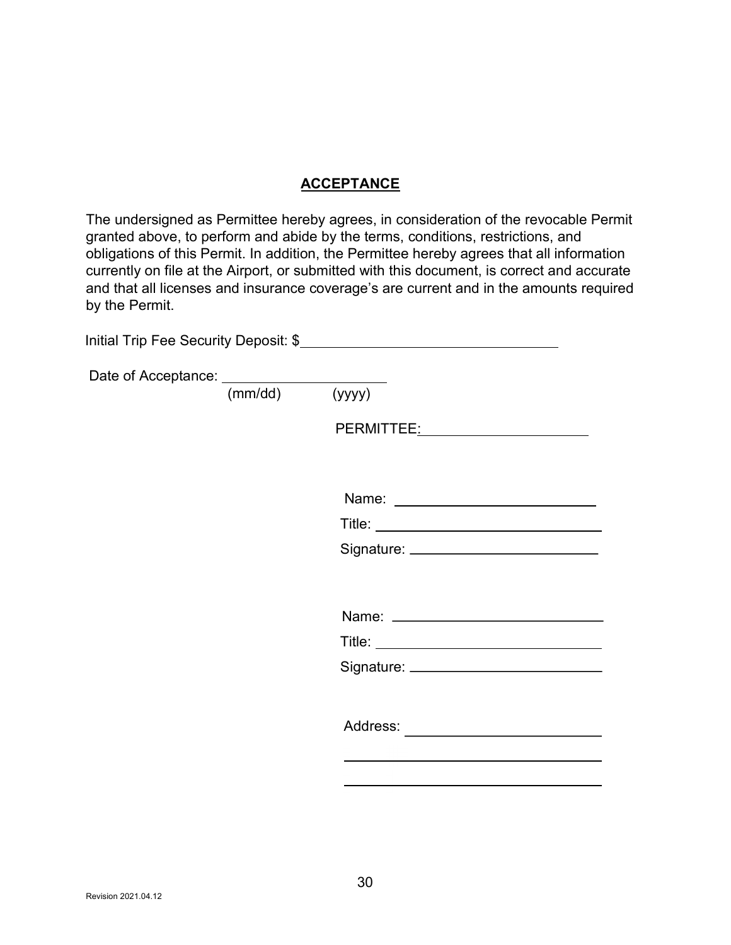#### **ACCEPTANCE**

The undersigned as Permittee hereby agrees, in consideration of the revocable Permit granted above, to perform and abide by the terms, conditions, restrictions, and obligations of this Permit. In addition, the Permittee hereby agrees that all information currently on file at the Airport, or submitted with this document, is correct and accurate and that all licenses and insurance coverage's are current and in the amounts required by the Permit.

| Date of Acceptance: ___________________ |                                                                                                                |
|-----------------------------------------|----------------------------------------------------------------------------------------------------------------|
| (mm/dd)                                 | (yyyy)                                                                                                         |
|                                         | PERMITTEE: NAME OF THE SERVE THE SERVE THAT A STREET AND THE SERVE THAT A STREET AND THE STREET AND THE STREET |
|                                         |                                                                                                                |
|                                         |                                                                                                                |
|                                         |                                                                                                                |
|                                         |                                                                                                                |
|                                         |                                                                                                                |
|                                         |                                                                                                                |
|                                         |                                                                                                                |
|                                         |                                                                                                                |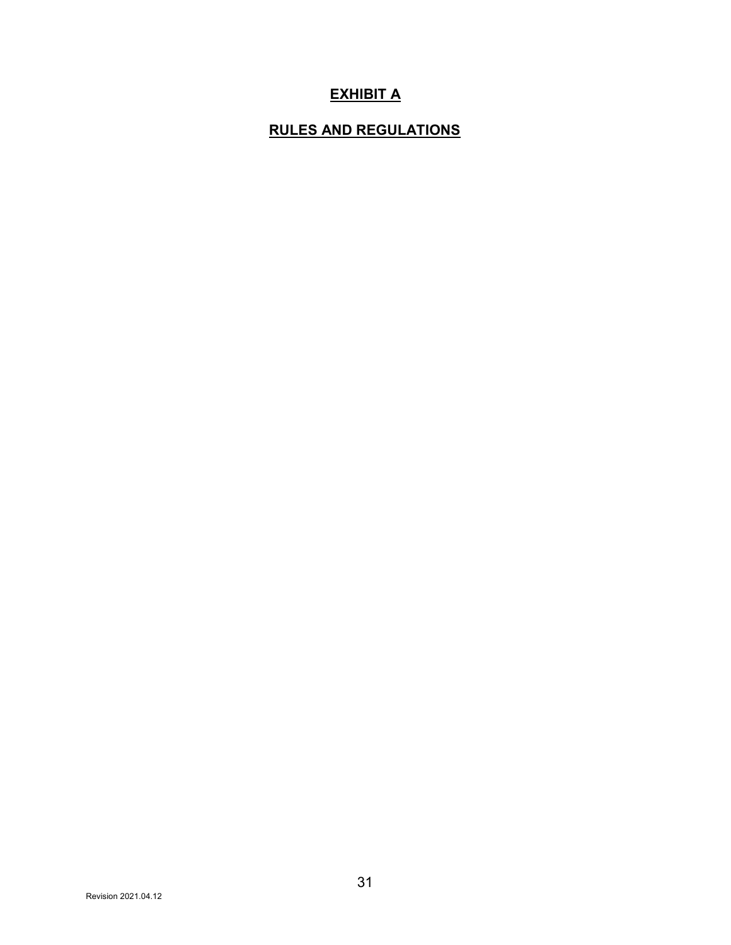## **EXHIBIT A**

## RULES AND REGULATIONS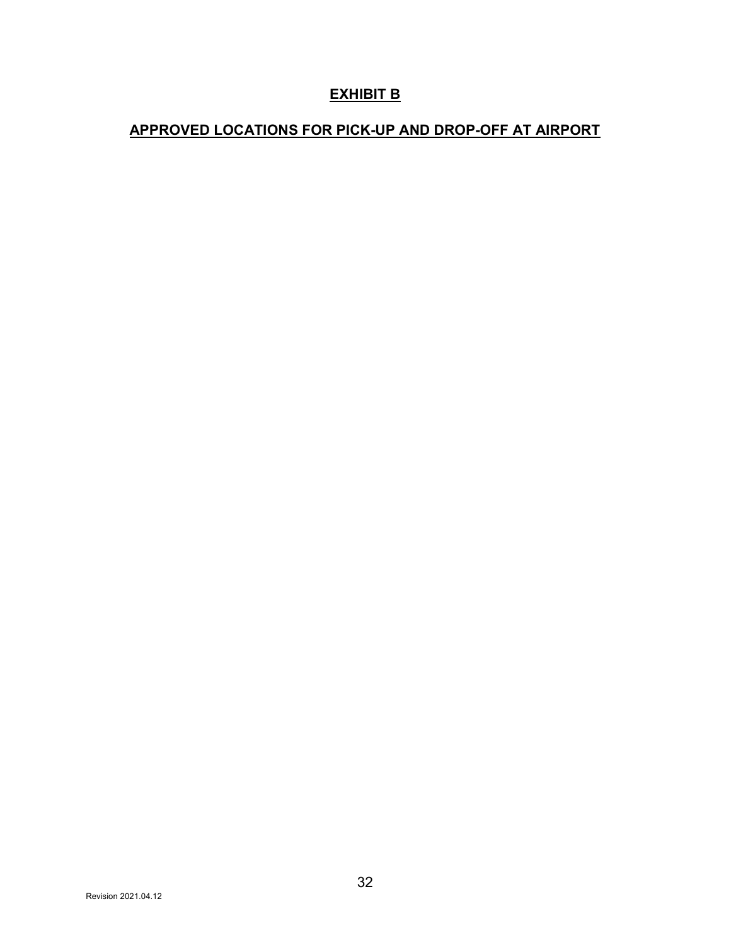## EXHIBIT B

## APPROVED LOCATIONS FOR PICK-UP AND DROP-OFF AT AIRPORT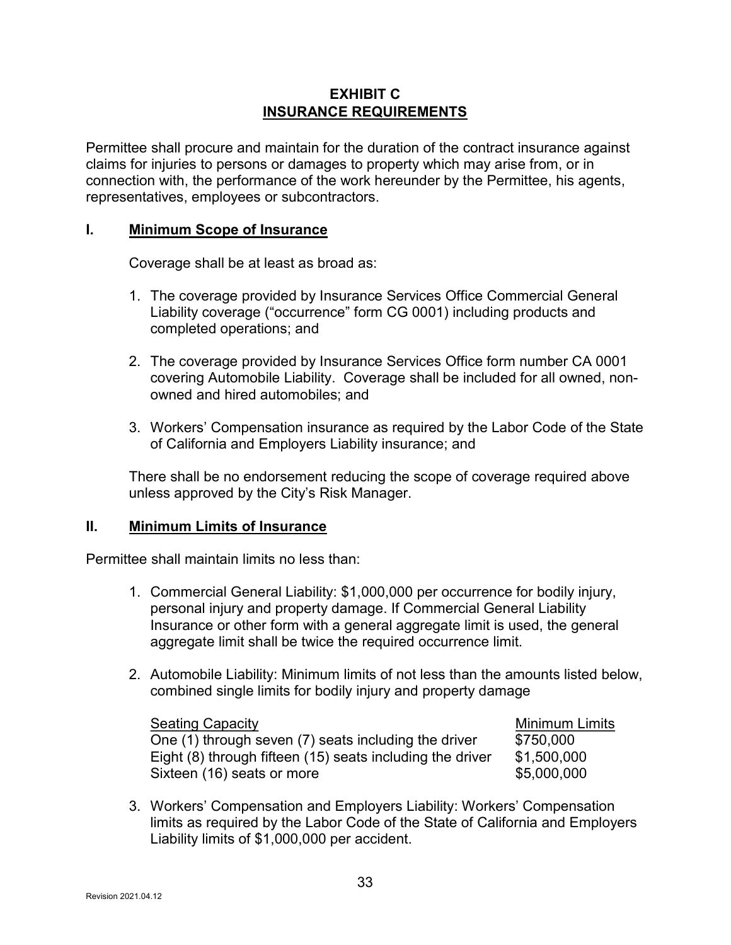#### EXHIBIT C INSURANCE REQUIREMENTS

Permittee shall procure and maintain for the duration of the contract insurance against claims for injuries to persons or damages to property which may arise from, or in connection with, the performance of the work hereunder by the Permittee, his agents, representatives, employees or subcontractors.

#### I. Minimum Scope of Insurance

Coverage shall be at least as broad as:

- 1. The coverage provided by Insurance Services Office Commercial General Liability coverage ("occurrence" form CG 0001) including products and completed operations; and
- 2. The coverage provided by Insurance Services Office form number CA 0001 covering Automobile Liability. Coverage shall be included for all owned, nonowned and hired automobiles; and
- 3. Workers' Compensation insurance as required by the Labor Code of the State of California and Employers Liability insurance; and

There shall be no endorsement reducing the scope of coverage required above unless approved by the City's Risk Manager.

#### II. Minimum Limits of Insurance

Permittee shall maintain limits no less than:

- 1. Commercial General Liability: \$1,000,000 per occurrence for bodily injury, personal injury and property damage. If Commercial General Liability Insurance or other form with a general aggregate limit is used, the general aggregate limit shall be twice the required occurrence limit.
- 2. Automobile Liability: Minimum limits of not less than the amounts listed below, combined single limits for bodily injury and property damage

| <b>Seating Capacity</b>                                   | <b>Minimum Limits</b> |
|-----------------------------------------------------------|-----------------------|
| One (1) through seven (7) seats including the driver      | \$750,000             |
| Eight (8) through fifteen (15) seats including the driver | \$1,500,000           |
| Sixteen (16) seats or more                                | \$5,000,000           |

3. Workers' Compensation and Employers Liability: Workers' Compensation limits as required by the Labor Code of the State of California and Employers Liability limits of \$1,000,000 per accident.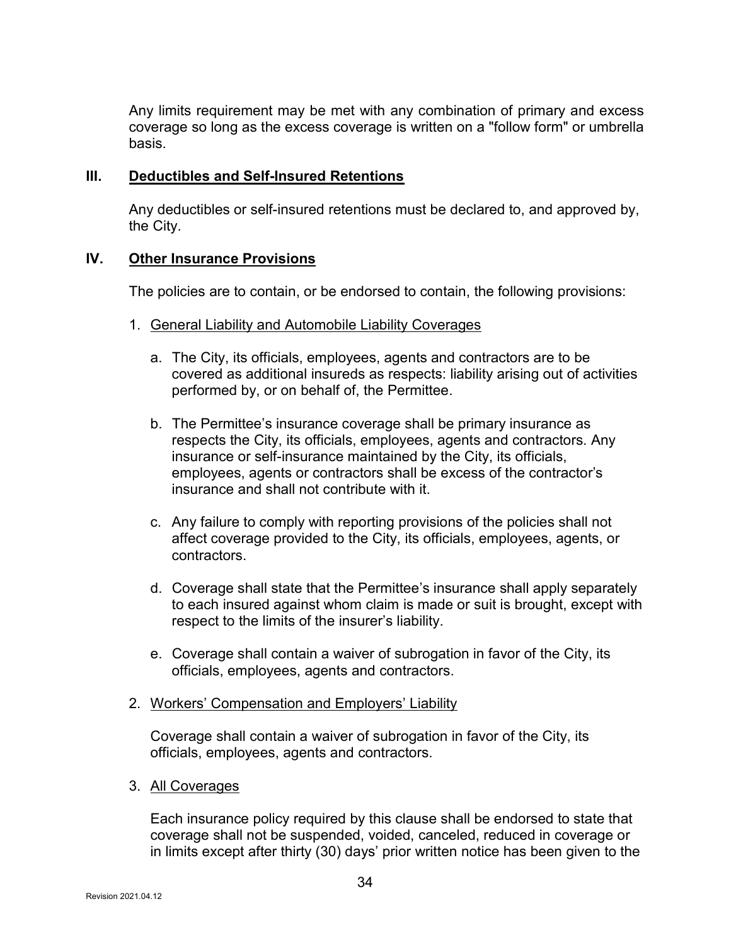Any limits requirement may be met with any combination of primary and excess coverage so long as the excess coverage is written on a "follow form" or umbrella basis.

#### III. Deductibles and Self-Insured Retentions

Any deductibles or self-insured retentions must be declared to, and approved by, the City.

#### IV. Other Insurance Provisions

The policies are to contain, or be endorsed to contain, the following provisions:

- 1. General Liability and Automobile Liability Coverages
	- a. The City, its officials, employees, agents and contractors are to be covered as additional insureds as respects: liability arising out of activities performed by, or on behalf of, the Permittee.
	- b. The Permittee's insurance coverage shall be primary insurance as respects the City, its officials, employees, agents and contractors. Any insurance or self-insurance maintained by the City, its officials, employees, agents or contractors shall be excess of the contractor's insurance and shall not contribute with it.
	- c. Any failure to comply with reporting provisions of the policies shall not affect coverage provided to the City, its officials, employees, agents, or contractors.
	- d. Coverage shall state that the Permittee's insurance shall apply separately to each insured against whom claim is made or suit is brought, except with respect to the limits of the insurer's liability.
	- e. Coverage shall contain a waiver of subrogation in favor of the City, its officials, employees, agents and contractors.
- 2. Workers' Compensation and Employers' Liability

Coverage shall contain a waiver of subrogation in favor of the City, its officials, employees, agents and contractors.

3. All Coverages

Each insurance policy required by this clause shall be endorsed to state that coverage shall not be suspended, voided, canceled, reduced in coverage or in limits except after thirty (30) days' prior written notice has been given to the